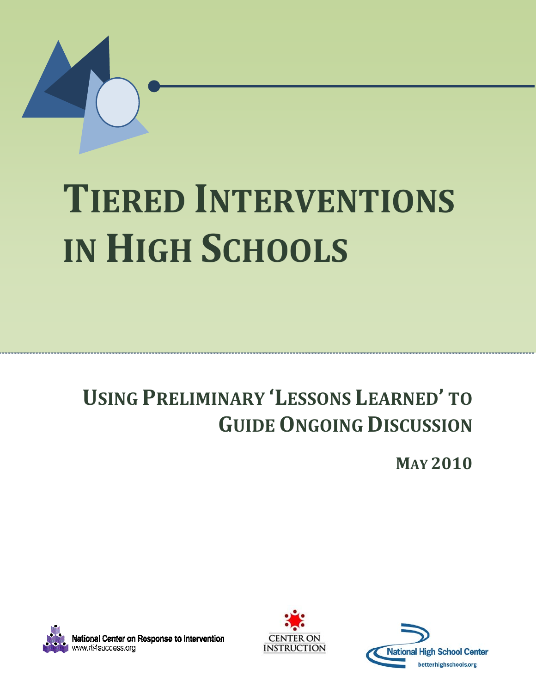

# **TIERED INTERVENTIONS IN HIGH SCHOOLS**

## **USING PRELIMINARY 'LESSONS LEARNED' TO GUIDE ONGOING DISCUSSION**

**MAY 2010**





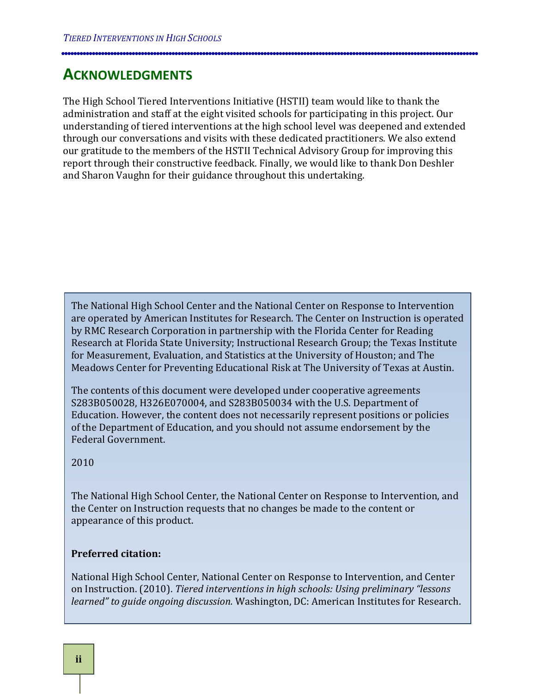## <span id="page-1-0"></span>**ACKNOWLEDGMENTS**

The High School Tiered Interventions Initiative (HSTII) team would like to thank the administration and staff at the eight visited schools for participating in this project. Our understanding of tiered interventions at the high school level was deepened and extended through our conversations and visits with these dedicated practitioners. We also extend our gratitude to the members of the HSTII Technical Advisory Group for improving this report through their constructive feedback. Finally, we would like to thank Don Deshler and Sharon Vaughn for their guidance throughout this undertaking.

The National High School Center and the National Center on Response to Intervention are operated by American Institutes for Research. The Center on Instruction is operated by RMC Research Corporation in partnership with the Florida Center for Reading Research at Florida State University; Instructional Research Group; the Texas Institute for Measurement, Evaluation, and Statistics at the University of Houston; and The Meadows Center for Preventing Educational Risk at The University of Texas at Austin.

The contents of this document were developed under cooperative agreements S283B050028, H326E070004, and S283B050034 with the U.S. Department of Education. However, the content does not necessarily represent positions or policies of the Department of Education, and you should not assume endorsement by the Federal Government.

2010

The National High School Center, the National Center on Response to Intervention, and the Center on Instruction requests that no changes be made to the content or appearance of this product.

#### **Preferred citation:**

National High School Center, National Center on Response to Intervention, and Center on Instruction. (2010). *Tiered interventions in high schools: Using preliminary "lessons learned" to guide ongoing discussion.* Washington, DC: American Institutes for Research.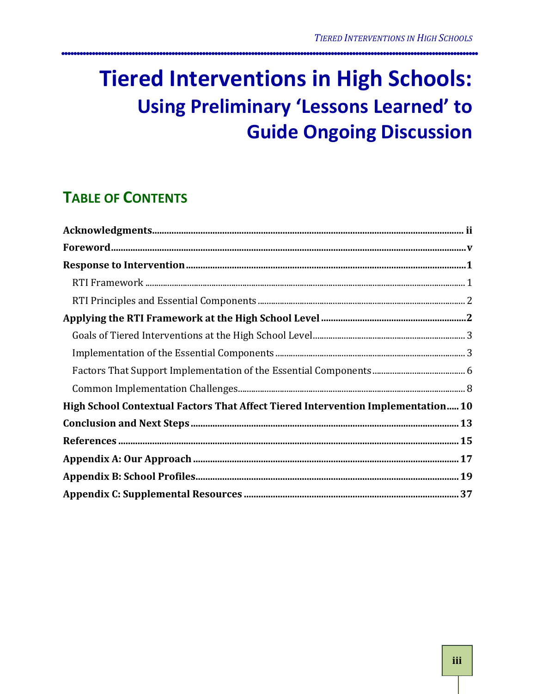## **Tiered Interventions in High Schools: Using Preliminary 'Lessons Learned' to Guide Ongoing Discussion**

## **TABLE OF CONTENTS**

| High School Contextual Factors That Affect Tiered Intervention Implementation10 |  |
|---------------------------------------------------------------------------------|--|
|                                                                                 |  |
|                                                                                 |  |
|                                                                                 |  |
|                                                                                 |  |
|                                                                                 |  |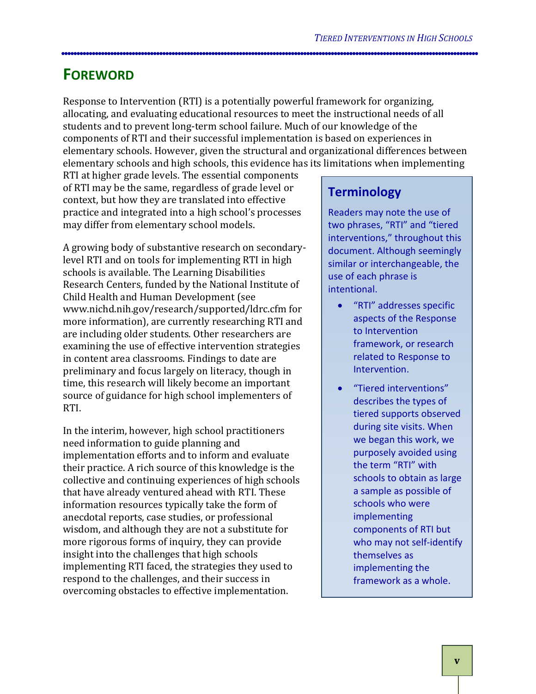## <span id="page-4-0"></span>**FOREWORD**

Response to Intervention (RTI) is a potentially powerful framework for organizing, allocating, and evaluating educational resources to meet the instructional needs of all students and to prevent long-term school failure. Much of our knowledge of the components of RTI and their successful implementation is based on experiences in elementary schools. However, given the structural and organizational differences between elementary schools and high schools, this evidence has its limitations when implementing

RTI at higher grade levels. The essential components of RTI may be the same, regardless of grade level or context, but how they are translated into effective practice and integrated into a high school's processes may differ from elementary school models.

A growing body of substantive research on secondarylevel RTI and on tools for implementing RTI in high schools is available. The Learning Disabilities Research Centers, funded by the National Institute of Child Health and Human Development (see www.nichd.nih.gov/research/supported/ldrc.cfm for more information), are currently researching RTI and are including older students. Other researchers are examining the use of effective intervention strategies in content area classrooms. Findings to date are preliminary and focus largely on literacy, though in time, this research will likely become an important source of guidance for high school implementers of RTI.

In the interim, however, high school practitioners need information to guide planning and implementation efforts and to inform and evaluate their practice. A rich source of this knowledge is the collective and continuing experiences of high schools that have already ventured ahead with RTI. These information resources typically take the form of anecdotal reports, case studies, or professional wisdom, and although they are not a substitute for more rigorous forms of inquiry, they can provide insight into the challenges that high schools implementing RTI faced, the strategies they used to respond to the challenges, and their success in overcoming obstacles to effective implementation.

## **Terminology**

Readers may note the use of two phrases, "RTI" and "tiered interventions," throughout this document. Although seemingly similar or interchangeable, the use of each phrase is intentional.

- "RTI" addresses specific aspects of the Response to Intervention framework, or research related to Response to Intervention.
- "Tiered interventions" describes the types of tiered supports observed during site visits. When we began this work, we purposely avoided using the term "RTI" with schools to obtain as large a sample as possible of schools who were implementing components of RTI but who may not self-identify themselves as implementing the framework as a whole.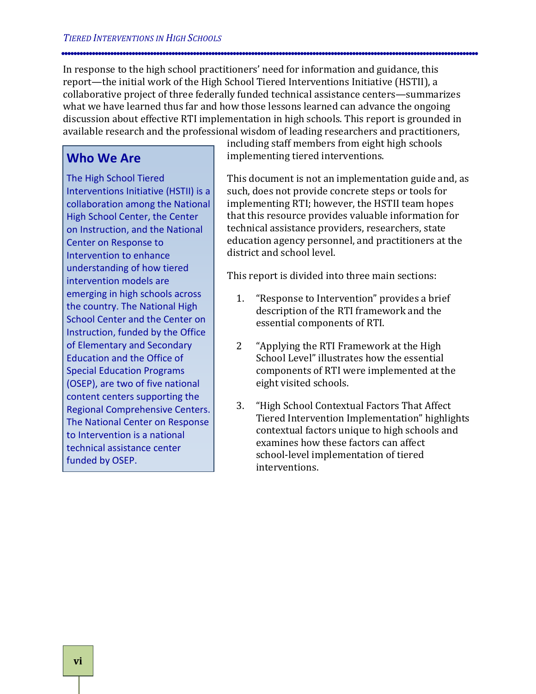In response to the high school practitioners' need for information and guidance, this report—the initial work of the High School Tiered Interventions Initiative (HSTII), a collaborative project of three federally funded technical assistance centers—summarizes what we have learned thus far and how those lessons learned can advance the ongoing discussion about effective RTI implementation in high schools. This report is grounded in available research and the professional wisdom of leading researchers and practitioners,

#### **Who We Are**

The High School Tiered Interventions Initiative (HSTII) is a collaboration among the National High School Center, the Center on Instruction, and the National Center on Response to Intervention to enhance understanding of how tiered intervention models are emerging in high schools across the country. The National High School Center and the Center on Instruction, funded by the Office of Elementary and Secondary Education and the Office of Special Education Programs (OSEP), are two of five national content centers supporting the Regional Comprehensive Centers. The National Center on Response to Intervention is a national technical assistance center funded by OSEP.

including staff members from eight high schools implementing tiered interventions.

This document is not an implementation guide and, as such, does not provide concrete steps or tools for implementing RTI; however, the HSTII team hopes that this resource provides valuable information for technical assistance providers, researchers, state education agency personnel, and practitioners at the district and school level.

This report is divided into three main sections:

- 1. "Response to Intervention" provides a brief description of the RTI framework and the essential components of RTI.
- 2 "Applying the RTI Framework at the High School Level" illustrates how the essential components of RTI were implemented at the eight visited schools.
- 3. "High School Contextual Factors That Affect Tiered Intervention Implementation" highlights contextual factors unique to high schools and examines how these factors can affect school-level implementation of tiered interventions.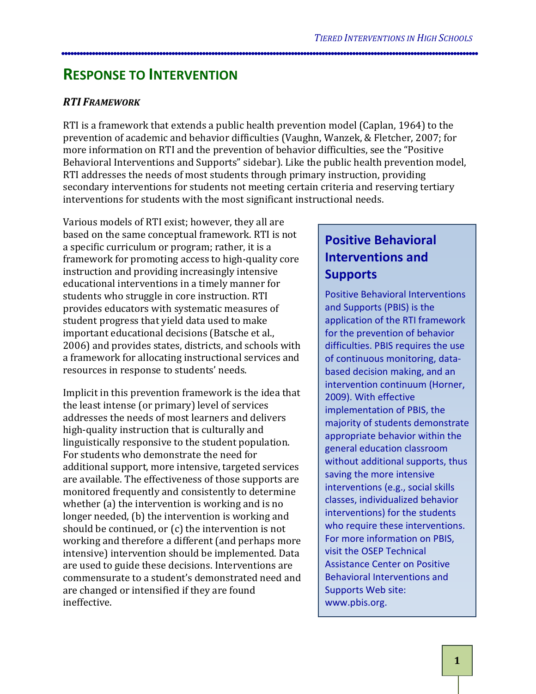## <span id="page-6-0"></span>**RESPONSE TO INTERVENTION**

#### <span id="page-6-1"></span>*RTI FRAMEWORK*

RTI is a framework that extends a public health prevention model (Caplan, 1964) to the prevention of academic and behavior difficulties (Vaughn, Wanzek, & Fletcher, 2007; for more information on RTI and the prevention of behavior difficulties, see the "Positive Behavioral Interventions and Supports" sidebar). Like the public health prevention model, RTI addresses the needs of most students through primary instruction, providing secondary interventions for students not meeting certain criteria and reserving tertiary interventions for students with the most significant instructional needs.

Various models of RTI exist; however, they all are based on the same conceptual framework. RTI is not a specific curriculum or program; rather, it is a framework for promoting access to high-quality core instruction and providing increasingly intensive educational interventions in a timely manner for students who struggle in core instruction. RTI provides educators with systematic measures of student progress that yield data used to make important educational decisions (Batsche et al., 2006) and provides states, districts, and schools with a framework for allocating instructional services and resources in response to students' needs.

Implicit in this prevention framework is the idea that the least intense (or primary) level of services addresses the needs of most learners and delivers high-quality instruction that is culturally and linguistically responsive to the student population. For students who demonstrate the need for additional support, more intensive, targeted services are available. The effectiveness of those supports are monitored frequently and consistently to determine whether (a) the intervention is working and is no longer needed, (b) the intervention is working and should be continued, or (c) the intervention is not working and therefore a different (and perhaps more intensive) intervention should be implemented. Data are used to guide these decisions. Interventions are commensurate to a student's demonstrated need and are changed or intensified if they are found ineffective.

## **Positive Behavioral Interventions and Supports**

Positive Behavioral Interventions and Supports (PBIS) is the application of the RTI framework for the prevention of behavior difficulties. PBIS requires the use of continuous monitoring, databased decision making, and an intervention continuum (Horner, 2009). With effective implementation of PBIS, the majority of students demonstrate appropriate behavior within the general education classroom without additional supports, thus saving the more intensive interventions (e.g., social skills classes, individualized behavior interventions) for the students who require these interventions. For more information on PBIS, visit the OSEP Technical Assistance Center on Positive Behavioral Interventions and Supports Web site: www.pbis.org.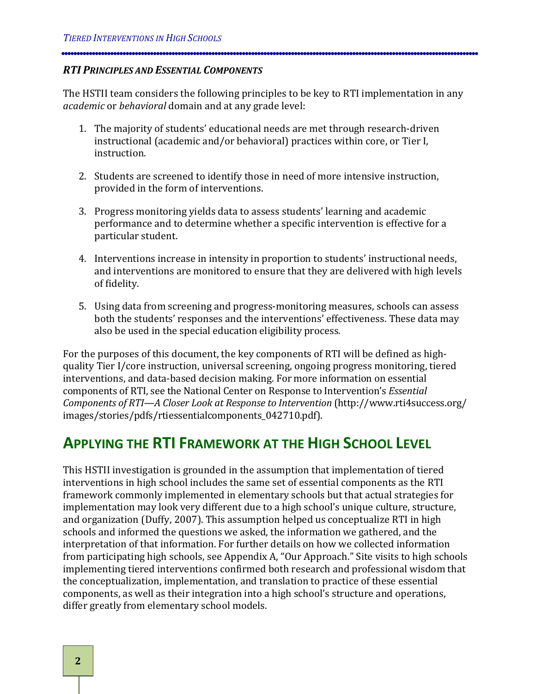#### <span id="page-7-0"></span>*RTI PRINCIPLES AND ESSENTIAL COMPONENTS*

The HSTII team considers the following principles to be key to RTI implementation in any *academic* or *behavioral*  domain and at any grade level:

- 1. The majority of students' educational needs are met through research-driven instructional (academic and/or behavioral) practices within core, or Tier I, instruction.
- 2. Students are screened to identify those in need of more intensive instruction, provided in the form of interventions.
- 3. Progress monitoring yields data to assess students' learning and academic performance and to determine whether a specific intervention is effective for a particular student.
- 4. Interventions increase in intensity in proportion to students' instructional needs, and interventions are monitored to ensure that they are delivered with high levels of fidelity.
- 5. Using data from screening and progress-monitoring measures, schools can assess both the students' responses and the interventions' effectiveness. These data may also be used in the special education eligibility process.

For the purposes of this document, the key components of RTI will be defined as highquality Tier I/core instruction, universal screening, ongoing progress monitoring, tiered interventions, and data-based decision making. For more information on essential components of RTI, see the National Center on Response to Intervention's *Essential Components of RTI—A Closer Look at Response to Intervention* (http://www.rti4success.org/ images/stories/pdfs/rtiessentialcomponents\_042710.pdf).

## <span id="page-7-1"></span>**APPLYING THE RTI FRAMEWORK AT THE HIGH SCHOOL LEVEL**

This HSTII investigation is grounded in the assumption that implementation of tiered interventions in high school includes the same set of essential components as the RTI framework commonly implemented in elementary schools but that actual strategies for implementation may look very different due to a high school's unique culture, structure, and organization (Duffy, 2007). This assumption helped us conceptualize RTI in high schools and informed the questions we asked, the information we gathered, and the interpretation of that information. For further details on how we collected information from participating high schools, see Appendix A, "Our Approach." Site visits to high schools implementing tiered interventions confirmed both research and professional wisdom that the conceptualization, implementation, and translation to practice of these essential components, as well as their integration into a high school's structure and operations, differ greatly from elementary school models.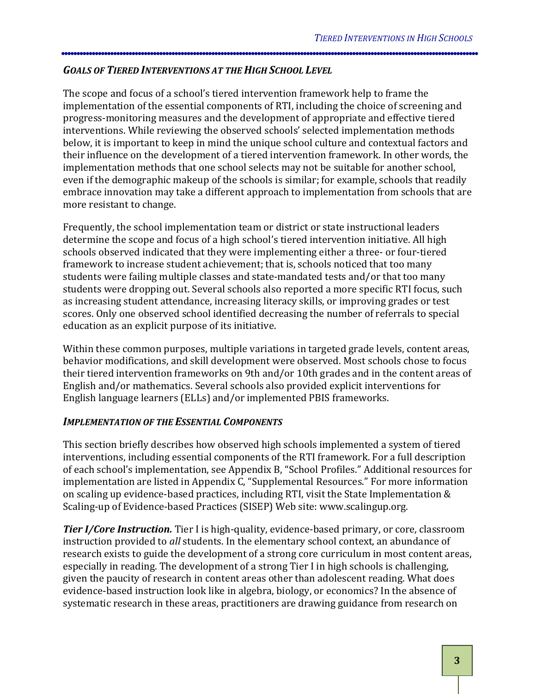#### <span id="page-8-0"></span>*GOALS OF TIERED INTERVENTIONS AT THE HIGH SCHOOL LEVEL*

The scope and focus of a school's tiered intervention framework help to frame the implementation of the essential components of RTI, including the choice of screening and progress-monitoring measures and the development of appropriate and effective tiered interventions. While reviewing the observed schools' selected implementation methods below, it is important to keep in mind the unique school culture and contextual factors and their influence on the development of a tiered intervention framework. In other words, the implementation methods that one school selects may not be suitable for another school, even if the demographic makeup of the schools is similar; for example, schools that readily embrace innovation may take a different approach to implementation from schools that are more resistant to change.

Frequently, the school implementation team or district or state instructional leaders determine the scope and focus of a high school's tiered intervention initiative. All high schools observed indicated that they were implementing either a three- or four-tiered framework to increase student achievement; that is, schools noticed that too many students were failing multiple classes and state-mandated tests and/or that too many students were dropping out. Several schools also reported a more specific RTI focus, such as increasing student attendance, increasing literacy skills, or improving grades or test scores. Only one observed school identified decreasing the number of referrals to special education as an explicit purpose of its initiative.

Within these common purposes, multiple variations in targeted grade levels, content areas, behavior modifications, and skill development were observed. Most schools chose to focus their tiered intervention frameworks on 9th and/or 10th grades and in the content areas of English and/or mathematics. Several schools also provided explicit interventions for English language learners (ELLs) and/or implemented PBIS frameworks.

#### <span id="page-8-1"></span>*IMPLEMENTATION OF THE ESSENTIAL COMPONENTS*

This section briefly describes how observed high schools implemented a system of tiered interventions, including essential components of the RTI framework. For a full description of each school's implementation, see Appendix B, "School Profiles." Additional resources for implementation are listed in Appendix C, "Supplemental Resources." For more information on scaling up evidence-based practices, including RTI, visit the State Implementation & Scaling-up of Evidence-based Practices (SISEP) Web site: www.scalingup.org.

*Tier I/Core Instruction.* Tier I is high-quality, evidence-based primary, or core, classroom instruction provided to *all* students. In the elementary school context, an abundance of research exists to guide the development of a strong core curriculum in most content areas, especially in reading. The development of a strong Tier I in high schools is challenging, given the paucity of research in content areas other than adolescent reading. What does evidence-based instruction look like in algebra, biology, or economics? In the absence of systematic research in these areas, practitioners are drawing guidance from research on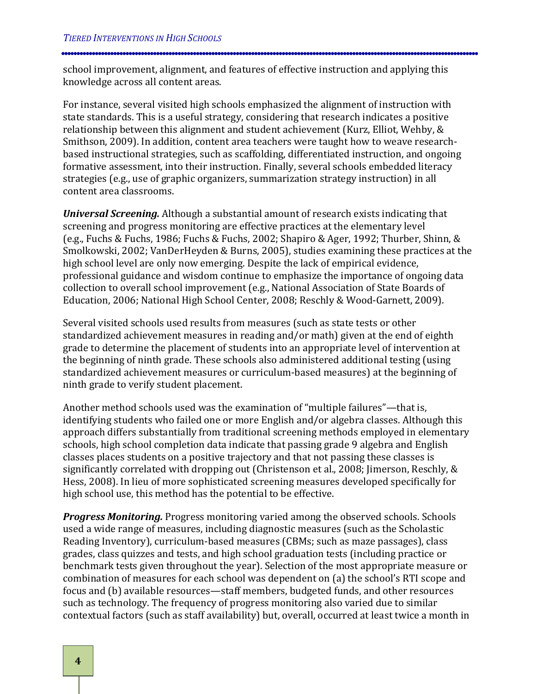school improvement, alignment, and features of effective instruction and applying this knowledge across all content areas.

For instance, several visited high schools emphasized the alignment of instruction with state standards. This is a useful strategy, considering that research indicates a positive relationship between this alignment and student achievement (Kurz, Elliot, Wehby, & Smithson, 2009). In addition, content area teachers were taught how to weave researchbased instructional strategies, such as scaffolding, differentiated instruction, and ongoing formative assessment, into their instruction. Finally, several schools embedded literacy strategies (e.g., use of graphic organizers, summarization strategy instruction) in all content area classrooms.

*Universal Screening.* Although a substantial amount of research exists indicating that screening and progress monitoring are effective practices at the elementary level (e.g., Fuchs & Fuchs, 1986; Fuchs & Fuchs, 2002; Shapiro & Ager, 1992; Thurber, Shinn, & Smolkowski, 2002; VanDerHeyden & Burns, 2005), studies examining these practices at the high school level are only now emerging. Despite the lack of empirical evidence, professional guidance and wisdom continue to emphasize the importance of ongoing data collection to overall school improvement (e.g., National Association of State Boards of Education, 2006; National High School Center, 2008; Reschly & Wood-Garnett, 2009).

Several visited schools used results from measures (such as state tests or other standardized achievement measures in reading and/or math) given at the end of eighth grade to determine the placement of students into an appropriate level of intervention at the beginning of ninth grade. These schools also administered additional testing (using standardized achievement measures or curriculum-based measures) at the beginning of ninth grade to verify student placement.

Another method schools used was the examination of "multiple failures"—that is, identifying students who failed one or more English and/or algebra classes. Although this approach differs substantially from traditional screening methods employed in elementary schools, high school completion data indicate that passing grade 9 algebra and English classes places students on a positive trajectory and that not passing these classes is significantly correlated with dropping out (Christenson et al., 2008; Jimerson, Reschly, & Hess, 2008). In lieu of more sophisticated screening measures developed specifically for high school use, this method has the potential to be effective.

*Progress Monitoring.* Progress monitoring varied among the observed schools. Schools used a wide range of measures, including diagnostic measures (such as the Scholastic Reading Inventory), curriculum-based measures (CBMs; such as maze passages), class grades, class quizzes and tests, and high school graduation tests (including practice or benchmark tests given throughout the year). Selection of the most appropriate measure or combination of measures for each school was dependent on (a) the school's RTI scope and focus and (b) available resources—staff members, budgeted funds, and other resources such as technology. The frequency of progress monitoring also varied due to similar contextual factors (such as staff availability) but, overall, occurred at least twice a month in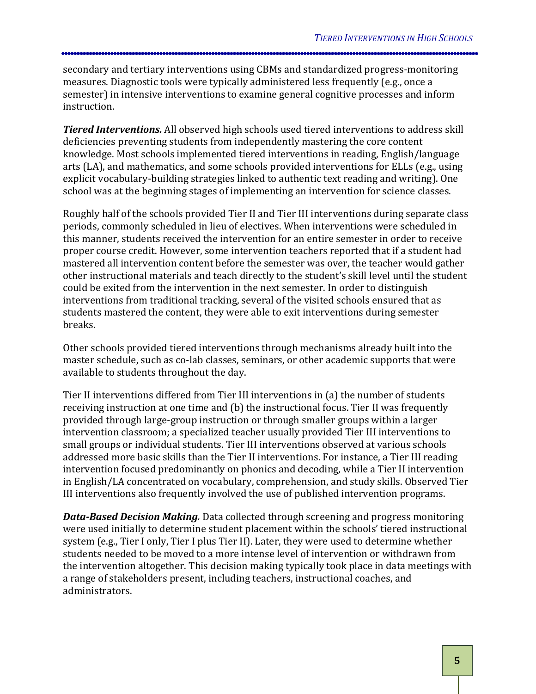secondary and tertiary interventions using CBMs and standardized progress-monitoring measures. Diagnostic tools were typically administered less frequently (e.g., once a semester) in intensive interventions to examine general cognitive processes and inform instruction.

*Tiered Interventions.*  All observed high schools used tiered interventions to address skill deficiencies preventing students from independently mastering the core content knowledge. Most schools implemented tiered interventions in reading, English/language arts (LA), and mathematics, and some schools provided interventions for ELLs (e.g., using explicit vocabulary-building strategies linked to authentic text reading and writing). One school was at the beginning stages of implementing an intervention for science classes.

Roughly half of the schools provided Tier II and Tier III interventions during separate class periods, commonly scheduled in lieu of electives. When interventions were scheduled in this manner, students received the intervention for an entire semester in order to receive proper course credit. However, some intervention teachers reported that if a student had mastered all intervention content before the semester was over, the teacher would gather other instructional materials and teach directly to the student's skill level until the student could be exited from the intervention in the next semester. In order to distinguish interventions from traditional tracking, several of the visited schools ensured that as students mastered the content, they were able to exit interventions during semester breaks.

Other schools provided tiered interventions through mechanisms already built into the master schedule, such as co-lab classes, seminars, or other academic supports that were available to students throughout the day.

Tier II interventions differed from Tier III interventions in (a) the number of students receiving instruction at one time and (b) the instructional focus. Tier II was frequently provided through large-group instruction or through smaller groups within a larger intervention classroom; a specialized teacher usually provided Tier III interventions to small groups or individual students. Tier III interventions observed at various schools addressed more basic skills than the Tier II interventions. For instance, a Tier III reading intervention focused predominantly on phonics and decoding, while a Tier II intervention in English/LA concentrated on vocabulary, comprehension, and study skills. Observed Tier III interventions also frequently involved the use of published intervention programs.

*Data-Based Decision Making.* Data collected through screening and progress monitoring were used initially to determine student placement within the schools' tiered instructional system (e.g., Tier I only, Tier I plus Tier II). Later, they were used to determine whether students needed to be moved to a more intense level of intervention or withdrawn from the intervention altogether. This decision making typically took place in data meetings with a range of stakeholders present, including teachers, instructional coaches, and administrators.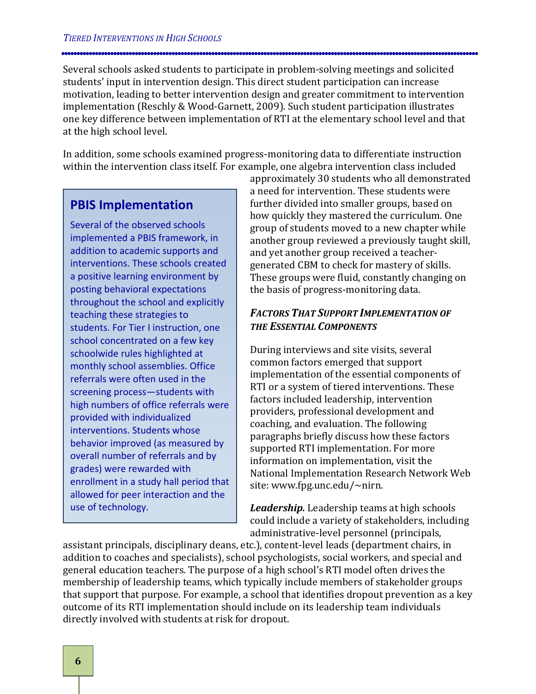Several schools asked students to participate in problem-solving meetings and solicited students' input in intervention design. This direct student participation can increase motivation, leading to better intervention design and greater commitment to intervention implementation (Reschly & Wood-Garnett, 2009). Such student participation illustrates one key difference between implementation of RTI at the elementary school level and that at the high school level.

In addition, some schools examined progress-monitoring data to differentiate instruction within the intervention class itself. For example, one algebra intervention class included

## **PBIS Implementation**

Several of the observed schools implemented a PBIS framework, in addition to academic supports and interventions. These schools created a positive learning environment by posting behavioral expectations throughout the school and explicitly teaching these strategies to students. For Tier I instruction, one school concentrated on a few key schoolwide rules highlighted at monthly school assemblies. Office referrals were often used in the screening process—students with high numbers of office referrals were provided with individualized interventions. Students whose behavior improved (as measured by overall number of referrals and by grades) were rewarded with enrollment in a study hall period that allowed for peer interaction and the use of technology.

approximately 30 students who all demonstrated a need for intervention. These students were further divided into smaller groups, based on how quickly they mastered the curriculum. One group of students moved to a new chapter while another group reviewed a previously taught skill, and yet another group received a teachergenerated CBM to check for mastery of skills. These groups were fluid, constantly changing on the basis of progress-monitoring data.

#### <span id="page-11-0"></span>*FACTORS THAT SUPPORT IMPLEMENTATION OF THE ESSENTIAL COMPONENTS*

During interviews and site visits, several common factors emerged that support implementation of the essential components of RTI or a system of tiered interventions. These factors included leadership, intervention providers, professional development and coaching, and evaluation. The following paragraphs briefly discuss how these factors supported RTI implementation. For more information on implementation, visit the National Implementation Research Network Web site: www.fpg.unc.edu/~nirn.

*Leadership.* Leadership teams at high schools could include a variety of stakeholders, including administrative-level personnel (principals,

assistant principals, disciplinary deans, etc.), content-level leads (department chairs, in addition to coaches and specialists), school psychologists, social workers, and special and general education teachers. The purpose of a high school's RTI model often drives the membership of leadership teams, which typically include members of stakeholder groups that support that purpose. For example, a school that identifies dropout prevention as a key outcome of its RTI implementation should include on its leadership team individuals directly involved with students at risk for dropout.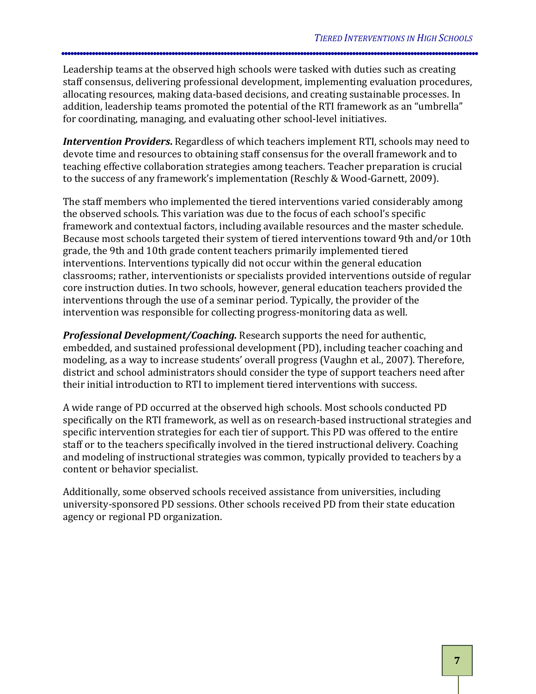Leadership teams at the observed high schools were tasked with duties such as creating staff consensus, delivering professional development, implementing evaluation procedures, allocating resources, making data-based decisions, and creating sustainable processes. In addition, leadership teams promoted the potential of the RTI framework as an "umbrella" for coordinating, managing, and evaluating other school-level initiatives.

**Intervention Providers.** Regardless of which teachers implement RTI, schools may need to devote time and resources to obtaining staff consensus for the overall framework and to teaching effective collaboration strategies among teachers. Teacher preparation is crucial to the success of any framework's implementation (Reschly & Wood-Garnett, 2009).

The staff members who implemented the tiered interventions varied considerably among the observed schools. This variation was due to the focus of each school's specific framework and contextual factors, including available resources and the master schedule. Because most schools targeted their system of tiered interventions toward 9th and/or 10th grade, the 9th and 10th grade content teachers primarily implemented tiered interventions. Interventions typically did not occur within the general education classrooms; rather, interventionists or specialists provided interventions outside of regular core instruction duties. In two schools, however, general education teachers provided the interventions through the use of a seminar period. Typically, the provider of the intervention was responsible for collecting progress-monitoring data as well.

*Professional Development/Coaching.* Research supports the need for authentic, embedded, and sustained professional development (PD), including teacher coaching and modeling, as a way to increase students' overall progress (Vaughn et al., 2007). Therefore, district and school administrators should consider the type of support teachers need after their initial introduction to RTI to implement tiered interventions with success.

A wide range of PD occurred at the observed high schools. Most schools conducted PD specifically on the RTI framework, as well as on research-based instructional strategies and specific intervention strategies for each tier of support. This PD was offered to the entire staff or to the teachers specifically involved in the tiered instructional delivery. Coaching and modeling of instructional strategies was common, typically provided to teachers by a content or behavior specialist.

Additionally, some observed schools received assistance from universities, including university-sponsored PD sessions. Other schools received PD from their state education agency or regional PD organization.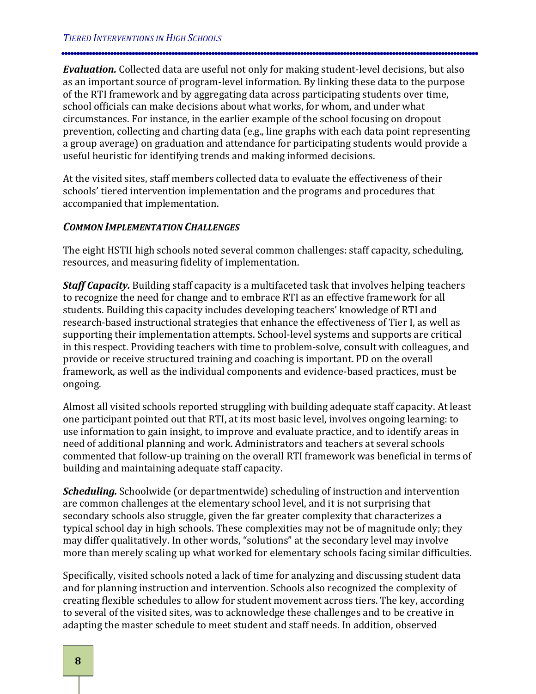*Evaluation.*  Collected data are useful not only for making student-level decisions, but also as an important source of program-level information. By linking these data to the purpose of the RTI framework and by aggregating data across participating students over time, school officials can make decisions about what works, for whom, and under what circumstances. For instance, in the earlier example of the school focusing on dropout prevention, collecting and charting data (e.g., line graphs with each data point representing a group average) on graduation and attendance for participating students would provide a useful heuristic for identifying trends and making informed decisions.

At the visited sites, staff members collected data to evaluate the effectiveness of their schools' tiered intervention implementation and the programs and procedures that accompanied that implementation.

#### <span id="page-13-0"></span>*COMMON IMPLEMENTATION CHALLENGES*

The eight HSTII high schools noted several common challenges: staff capacity, scheduling, resources, and measuring fidelity of implementation.

*Staff Capacity.* Building staff capacity is a multifaceted task that involves helping teachers to recognize the need for change and to embrace RTI as an effective framework for all students. Building this capacity includes developing teachers' knowledge of RTI and research-based instructional strategies that enhance the effectiveness of Tier I, as well as supporting their implementation attempts. School-level systems and supports are critical in this respect. Providing teachers with time to problem-solve, consult with colleagues, and provide or receive structured training and coaching is important. PD on the overall framework, as well as the individual components and evidence-based practices, must be ongoing.

Almost all visited schools reported struggling with building adequate staff capacity. At least one participant pointed out that RTI, at its most basic level, involves ongoing learning: to use information to gain insight, to improve and evaluate practice, and to identify areas in need of additional planning and work. Administrators and teachers at several schools commented that follow-up training on the overall RTI framework was beneficial in terms of building and maintaining adequate staff capacity.

*Scheduling.* Schoolwide (or departmentwide) scheduling of instruction and intervention are common challenges at the elementary school level, and it is not surprising that secondary schools also struggle, given the far greater complexity that characterizes a typical school day in high schools. These complexities may not be of magnitude only; they may differ qualitatively. In other words, "solutions" at the secondary level may involve more than merely scaling up what worked for elementary schools facing similar difficulties.

Specifically, visited schools noted a lack of time for analyzing and discussing student data and for planning instruction and intervention. Schools also recognized the complexity of creating flexible schedules to allow for student movement across tiers. The key, according to several of the visited sites, was to acknowledge these challenges and to be creative in adapting the master schedule to meet student and staff needs. In addition, observed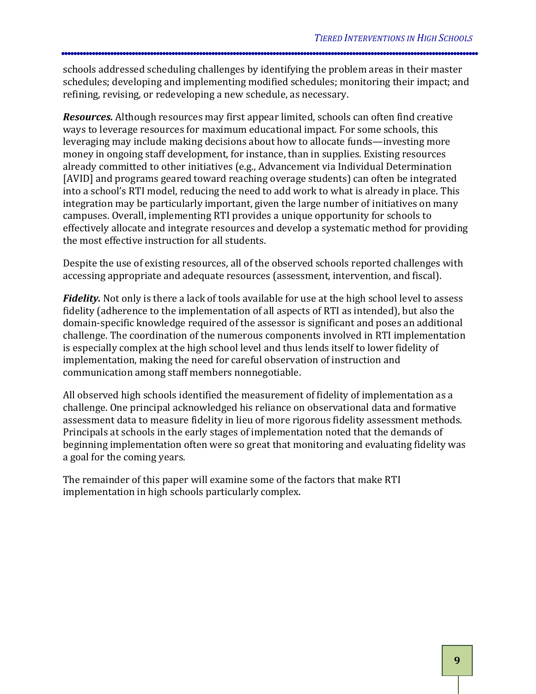schools addressed scheduling challenges by identifying the problem areas in their master schedules; developing and implementing modified schedules; monitoring their impact; and refining, revising, or redeveloping a new schedule, as necessary.

*Resources.* Although resources may first appear limited, schools can often find creative ways to leverage resources for maximum educational impact. For some schools, this leveraging may include making decisions about how to allocate funds—investing more money in ongoing staff development, for instance, than in supplies. Existing resources already committed to other initiatives (e.g., Advancement via Individual Determination [AVID] and programs geared toward reaching overage students) can often be integrated into a school's RTI model, reducing the need to add work to what is already in place. This integration may be particularly important, given the large number of initiatives on many campuses. Overall, implementing RTI provides a unique opportunity for schools to effectively allocate and integrate resources and develop a systematic method for providing the most effective instruction for all students.

Despite the use of existing resources, all of the observed schools reported challenges with accessing appropriate and adequate resources (assessment, intervention, and fiscal).

*Fidelity.* Not only is there a lack of tools available for use at the high school level to assess fidelity (adherence to the implementation of all aspects of RTI as intended), but also the domain-specific knowledge required of the assessor is significant and poses an additional challenge. The coordination of the numerous components involved in RTI implementation is especially complex at the high school level and thus lends itself to lower fidelity of implementation, making the need for careful observation of instruction and communication among staff members nonnegotiable.

All observed high schools identified the measurement of fidelity of implementation as a challenge. One principal acknowledged his reliance on observational data and formative assessment data to measure fidelity in lieu of more rigorous fidelity assessment methods. Principals at schools in the early stages of implementation noted that the demands of beginning implementation often were so great that monitoring and evaluating fidelity was a goal for the coming years.

The remainder of this paper will examine some of the factors that make RTI implementation in high schools particularly complex.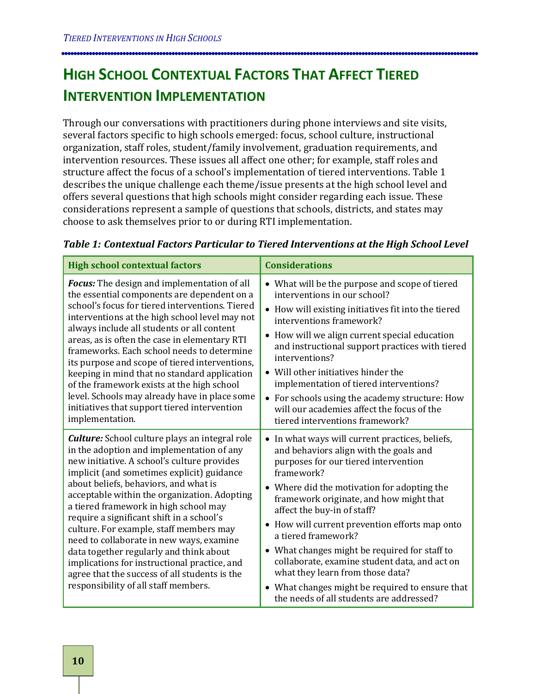## <span id="page-15-0"></span>**HIGH SCHOOL CONTEXTUAL FACTORS THAT AFFECT TIERED INTERVENTION IMPLEMENTATION**

Through our conversations with practitioners during phone interviews and site visits, several factors specific to high schools emerged: focus, school culture, instructional organization, staff roles, student/family involvement, graduation requirements, and intervention resources. These issues all affect one other; for example, staff roles and structure affect the focus of a school's implementation of tiered interventions. Table 1 describes the unique challenge each theme/issue presents at the high school level and offers several questions that high schools might consider regarding each issue. These considerations represent a sample of questions that schools, districts, and states may choose to ask themselves prior to or during RTI implementation.

| <b>High school contextual factors</b>                                                                                                                                                                                                                                                                                                                                                                                                                                                                                                                                                                                                                     | <b>Considerations</b>                                                                                                                                                                                                                                                                                                                                                                                                                                                                                                                                                                  |  |
|-----------------------------------------------------------------------------------------------------------------------------------------------------------------------------------------------------------------------------------------------------------------------------------------------------------------------------------------------------------------------------------------------------------------------------------------------------------------------------------------------------------------------------------------------------------------------------------------------------------------------------------------------------------|----------------------------------------------------------------------------------------------------------------------------------------------------------------------------------------------------------------------------------------------------------------------------------------------------------------------------------------------------------------------------------------------------------------------------------------------------------------------------------------------------------------------------------------------------------------------------------------|--|
| Focus: The design and implementation of all<br>the essential components are dependent on a<br>school's focus for tiered interventions. Tiered<br>interventions at the high school level may not<br>always include all students or all content<br>areas, as is often the case in elementary RTI<br>frameworks. Each school needs to determine<br>its purpose and scope of tiered interventions,<br>keeping in mind that no standard application<br>of the framework exists at the high school<br>level. Schools may already have in place some<br>initiatives that support tiered intervention<br>implementation.                                          | • What will be the purpose and scope of tiered<br>interventions in our school?<br>• How will existing initiatives fit into the tiered<br>interventions framework?<br>• How will we align current special education<br>and instructional support practices with tiered<br>interventions?<br>• Will other initiatives hinder the<br>implementation of tiered interventions?<br>• For schools using the academy structure: How<br>will our academies affect the focus of the<br>tiered interventions framework?                                                                           |  |
| <b>Culture:</b> School culture plays an integral role<br>in the adoption and implementation of any<br>new initiative. A school's culture provides<br>implicit (and sometimes explicit) guidance<br>about beliefs, behaviors, and what is<br>acceptable within the organization. Adopting<br>a tiered framework in high school may<br>require a significant shift in a school's<br>culture. For example, staff members may<br>need to collaborate in new ways, examine<br>data together regularly and think about<br>implications for instructional practice, and<br>agree that the success of all students is the<br>responsibility of all staff members. | • In what ways will current practices, beliefs,<br>and behaviors align with the goals and<br>purposes for our tiered intervention<br>framework?<br>• Where did the motivation for adopting the<br>framework originate, and how might that<br>affect the buy-in of staff?<br>• How will current prevention efforts map onto<br>a tiered framework?<br>• What changes might be required for staff to<br>collaborate, examine student data, and act on<br>what they learn from those data?<br>• What changes might be required to ensure that<br>the needs of all students are addressed? |  |

#### *Table 1: Contextual Factors Particular to Tiered Interventions at the High School Level*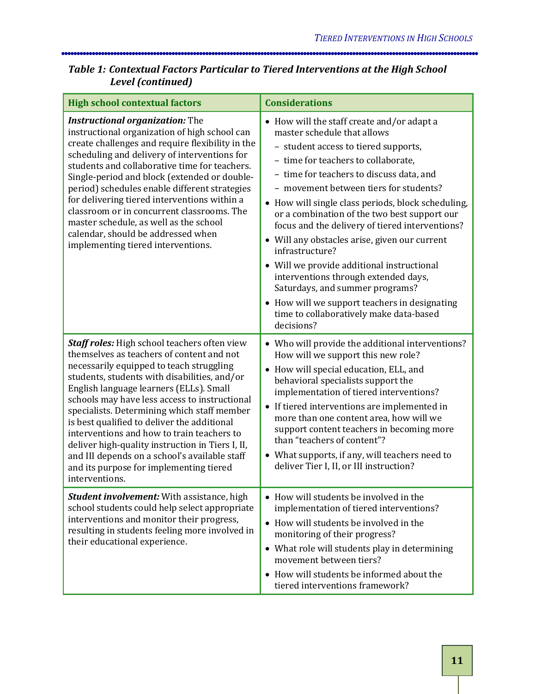### *Table 1: Contextual Factors Particular to Tiered Interventions at the High School Level (continued)*

| <b>High school contextual factors</b>                                                                                                                                                                                                                                                                                                                                                                                                                                                                                                                                                           | <b>Considerations</b>                                                                                                                                                                                                                                                                                                                                                                                                                                                                                                                                                                                                                                                                                          |
|-------------------------------------------------------------------------------------------------------------------------------------------------------------------------------------------------------------------------------------------------------------------------------------------------------------------------------------------------------------------------------------------------------------------------------------------------------------------------------------------------------------------------------------------------------------------------------------------------|----------------------------------------------------------------------------------------------------------------------------------------------------------------------------------------------------------------------------------------------------------------------------------------------------------------------------------------------------------------------------------------------------------------------------------------------------------------------------------------------------------------------------------------------------------------------------------------------------------------------------------------------------------------------------------------------------------------|
| <b>Instructional organization:</b> The<br>instructional organization of high school can<br>create challenges and require flexibility in the<br>scheduling and delivery of interventions for<br>students and collaborative time for teachers.<br>Single-period and block (extended or double-<br>period) schedules enable different strategies<br>for delivering tiered interventions within a<br>classroom or in concurrent classrooms. The<br>master schedule, as well as the school<br>calendar, should be addressed when<br>implementing tiered interventions.                               | • How will the staff create and/or adapt a<br>master schedule that allows<br>- student access to tiered supports,<br>- time for teachers to collaborate,<br>- time for teachers to discuss data, and<br>- movement between tiers for students?<br>• How will single class periods, block scheduling,<br>or a combination of the two best support our<br>focus and the delivery of tiered interventions?<br>• Will any obstacles arise, given our current<br>infrastructure?<br>• Will we provide additional instructional<br>interventions through extended days,<br>Saturdays, and summer programs?<br>• How will we support teachers in designating<br>time to collaboratively make data-based<br>decisions? |
| Staff roles: High school teachers often view<br>themselves as teachers of content and not<br>necessarily equipped to teach struggling<br>students, students with disabilities, and/or<br>English language learners (ELLs). Small<br>schools may have less access to instructional<br>specialists. Determining which staff member<br>is best qualified to deliver the additional<br>interventions and how to train teachers to<br>deliver high-quality instruction in Tiers I, II,<br>and III depends on a school's available staff<br>and its purpose for implementing tiered<br>interventions. | • Who will provide the additional interventions?<br>How will we support this new role?<br>• How will special education, ELL, and<br>behavioral specialists support the<br>implementation of tiered interventions?<br>• If tiered interventions are implemented in<br>more than one content area, how will we<br>support content teachers in becoming more<br>than "teachers of content"?<br>• What supports, if any, will teachers need to<br>deliver Tier I, II, or III instruction?                                                                                                                                                                                                                          |
| <b>Student involvement:</b> With assistance, high<br>school students could help select appropriate<br>interventions and monitor their progress,<br>resulting in students feeling more involved in<br>their educational experience.                                                                                                                                                                                                                                                                                                                                                              | • How will students be involved in the<br>implementation of tiered interventions?<br>• How will students be involved in the<br>monitoring of their progress?<br>• What role will students play in determining<br>movement between tiers?<br>• How will students be informed about the<br>tiered interventions framework?                                                                                                                                                                                                                                                                                                                                                                                       |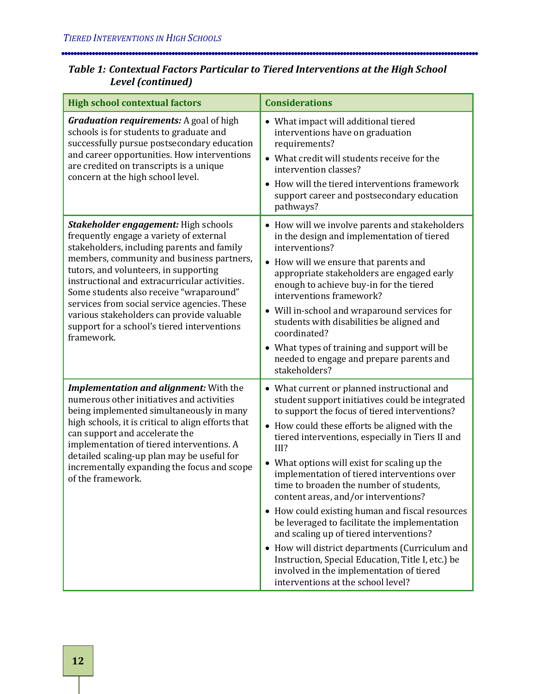| Table 1: Contextual Factors Particular to Tiered Interventions at the High School |  |
|-----------------------------------------------------------------------------------|--|
| Level (continued)                                                                 |  |

| <b>High school contextual factors</b>                                                                                                                                                                                                                                                                                                                                                                                                                                     | <b>Considerations</b>                                                                                                                                                                                                                                                                                                                                                                                                                                                                                                                                                                                                                                                                                                                                                                   |
|---------------------------------------------------------------------------------------------------------------------------------------------------------------------------------------------------------------------------------------------------------------------------------------------------------------------------------------------------------------------------------------------------------------------------------------------------------------------------|-----------------------------------------------------------------------------------------------------------------------------------------------------------------------------------------------------------------------------------------------------------------------------------------------------------------------------------------------------------------------------------------------------------------------------------------------------------------------------------------------------------------------------------------------------------------------------------------------------------------------------------------------------------------------------------------------------------------------------------------------------------------------------------------|
| <b>Graduation requirements:</b> A goal of high<br>schools is for students to graduate and<br>successfully pursue postsecondary education<br>and career opportunities. How interventions<br>are credited on transcripts is a unique<br>concern at the high school level.                                                                                                                                                                                                   | • What impact will additional tiered<br>interventions have on graduation<br>requirements?<br>• What credit will students receive for the<br>intervention classes?<br>• How will the tiered interventions framework<br>support career and postsecondary education<br>pathways?                                                                                                                                                                                                                                                                                                                                                                                                                                                                                                           |
| Stakeholder engagement: High schools<br>frequently engage a variety of external<br>stakeholders, including parents and family<br>members, community and business partners,<br>tutors, and volunteers, in supporting<br>instructional and extracurricular activities.<br>Some students also receive "wraparound"<br>services from social service agencies. These<br>various stakeholders can provide valuable<br>support for a school's tiered interventions<br>framework. | • How will we involve parents and stakeholders<br>in the design and implementation of tiered<br>interventions?<br>• How will we ensure that parents and<br>appropriate stakeholders are engaged early<br>enough to achieve buy-in for the tiered<br>interventions framework?<br>• Will in-school and wraparound services for<br>students with disabilities be aligned and<br>coordinated?<br>• What types of training and support will be<br>needed to engage and prepare parents and<br>stakeholders?                                                                                                                                                                                                                                                                                  |
| Implementation and alignment: With the<br>numerous other initiatives and activities<br>being implemented simultaneously in many<br>high schools, it is critical to align efforts that<br>can support and accelerate the<br>implementation of tiered interventions. A<br>detailed scaling-up plan may be useful for<br>incrementally expanding the focus and scope<br>of the framework.                                                                                    | • What current or planned instructional and<br>student support initiatives could be integrated<br>to support the focus of tiered interventions?<br>• How could these efforts be aligned with the<br>tiered interventions, especially in Tiers II and<br>III?<br>• What options will exist for scaling up the<br>implementation of tiered interventions over<br>time to broaden the number of students,<br>content areas, and/or interventions?<br>• How could existing human and fiscal resources<br>be leveraged to facilitate the implementation<br>and scaling up of tiered interventions?<br>• How will district departments (Curriculum and<br>Instruction, Special Education, Title I, etc.) be<br>involved in the implementation of tiered<br>interventions at the school level? |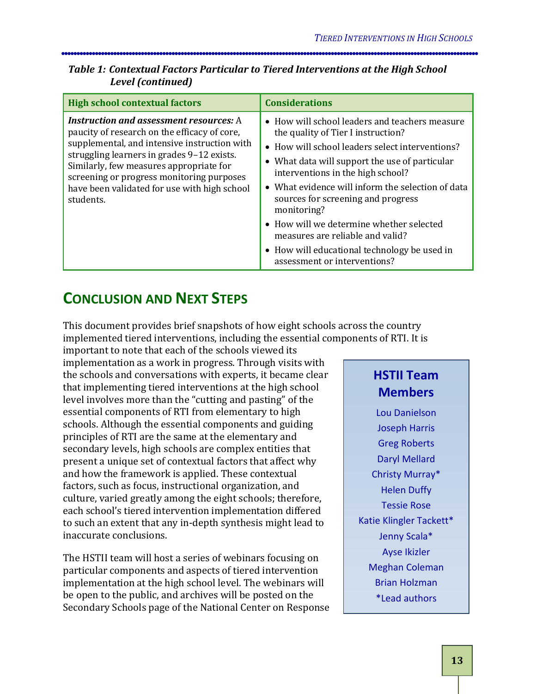#### *Table 1: Contextual Factors Particular to Tiered Interventions at the High School Level (continued)*

| <b>High school contextual factors</b>                                                                                                                                                                                                                                                                                                             | <b>Considerations</b>                                                                                                                                                                                                                                                                                                                                                                                                                                                                                    |
|---------------------------------------------------------------------------------------------------------------------------------------------------------------------------------------------------------------------------------------------------------------------------------------------------------------------------------------------------|----------------------------------------------------------------------------------------------------------------------------------------------------------------------------------------------------------------------------------------------------------------------------------------------------------------------------------------------------------------------------------------------------------------------------------------------------------------------------------------------------------|
| <b>Instruction and assessment resources:</b> A<br>paucity of research on the efficacy of core,<br>supplemental, and intensive instruction with<br>struggling learners in grades 9-12 exists.<br>Similarly, few measures appropriate for<br>screening or progress monitoring purposes<br>have been validated for use with high school<br>students. | • How will school leaders and teachers measure<br>the quality of Tier I instruction?<br>• How will school leaders select interventions?<br>• What data will support the use of particular<br>interventions in the high school?<br>• What evidence will inform the selection of data<br>sources for screening and progress<br>monitoring?<br>• How will we determine whether selected<br>measures are reliable and valid?<br>• How will educational technology be used in<br>assessment or interventions? |

## <span id="page-18-0"></span>**CONCLUSION AND NEXT STEPS**

This document provides brief snapshots of how eight schools across the country implemented tiered interventions, including the essential components of RTI. It is

important to note that each of the schools viewed its implementation as a work in progress. Through visits with the schools and conversations with experts, it became clear that implementing tiered interventions at the high school level involves more than the "cutting and pasting" of the essential components of RTI from elementary to high schools. Although the essential components and guiding principles of RTI are the same at the elementary and secondary levels, high schools are complex entities that present a unique set of contextual factors that affect why and how the framework is applied. These contextual factors, such as focus, instructional organization, and culture, varied greatly among the eight schools; therefore, each school's tiered intervention implementation differed to such an extent that any in-depth synthesis might lead to inaccurate conclusions.

The HSTII team will host a series of webinars focusing on particular components and aspects of tiered intervention implementation at the high school level. The webinars will be open to the public, and archives will be posted on the Secondary Schools page of the National Center on Response

## **HSTII Team Members**

Lou Danielson Joseph Harris Greg Roberts Daryl Mellard Christy Murray\* Helen Duffy Tessie Rose Katie Klingler Tackett\* Jenny Scala\* Ayse Ikizler Meghan Coleman Brian Holzman \*Lead authors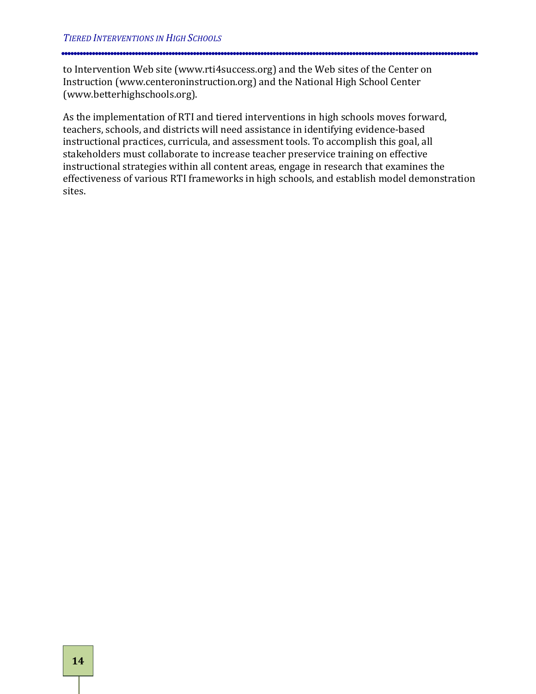to Intervention Web site (www.rti4success.org) and the Web sites of the Center on Instruction (www.centeroninstruction.org) and the National High School Center (www.betterhighschools.org).

As the implementation of RTI and tiered interventions in high schools moves forward, teachers, schools, and districts will need assistance in identifying evidence-based instructional practices, curricula, and assessment tools. To accomplish this goal, all stakeholders must collaborate to increase teacher preservice training on effective instructional strategies within all content areas, engage in research that examines the effectiveness of various RTI frameworks in high schools, and establish model demonstration sites.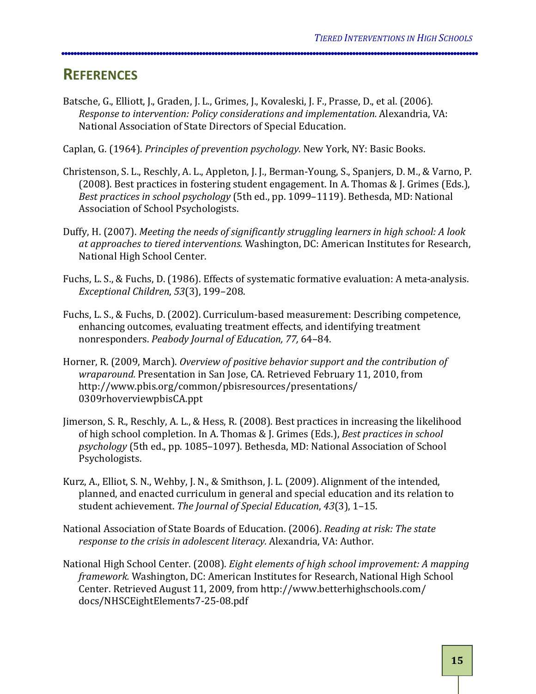## <span id="page-20-0"></span>**REFERENCES**

Batsche, G., Elliott, J., Graden, J. L., Grimes, J., Kovaleski, J. F., Prasse, D., et al. (2006). *Response to intervention: Policy considerations and implementation.* Alexandria, VA: National Association of State Directors of Special Education.

Caplan, G. (1964). *Principles of prevention psychology.* New York, NY: Basic Books.

- Christenson, S. L., Reschly, A. L., Appleton, J. J., Berman-Young, S., Spanjers, D. M., & Varno, P. (2008). Best practices in fostering student engagement. In A. Thomas & J. Grimes (Eds.), *Best practices in school psychology*  (5th ed., pp. 1099–1119). Bethesda, MD: National Association of School Psychologists.
- Duffy, H. (2007). *Meeting the needs of significantly struggling learners in high school: A look at approaches to tiered interventions.*  Washington, DC: American Institutes for Research, National High School Center.
- Fuchs, L. S., & Fuchs, D. (1986). Effects of systematic formative evaluation: A meta-analysis. *Exceptional Children*, *53* (3), 199–208.
- Fuchs, L. S., & Fuchs, D. (2002). Curriculum-based measurement: Describing competence, enhancing outcomes, evaluating treatment effects, and identifying treatment nonresponders. *Peabody Journal of Education, 77,*  64–84.
- Horner, R. (2009, March). *Overview of positive behavior support and the contribution of wraparound.*  Presentation in San Jose, CA. Retrieved February 11, 2010, from http://www.pbis.org/common/pbisresources/presentations/ 0309rhoverviewpbisCA.ppt
- Jimerson, S. R., Reschly, A. L., & Hess, R. (2008). Best practices in increasing the likelihood of high school completion. In A. Thomas & J. Grimes (Eds.), *Best practices in school psychology*  (5th ed., pp. 1085–1097). Bethesda, MD: National Association of School Psychologists.
- Kurz, A., Elliot, S. N., Wehby, J. N., & Smithson, J. L. (2009). Alignment of the intended, planned, and enacted curriculum in general and special education and its relation to student achievement. *The Journal of Special Education*, *43* (3), 1–15.
- National Association of State Boards of Education. (2006). *Reading at risk: The state response to the crisis in adolescent literacy.*  Alexandria, VA: Author.
- National High School Center. (2008). *Eight elements of high school improvement: A mapping framework.* Washington, DC: American Institutes for Research, National High School Center. Retrieved August 11, 2009, from http://www.betterhighschools.com/ docs/NHSCEightElements7-25-08.pdf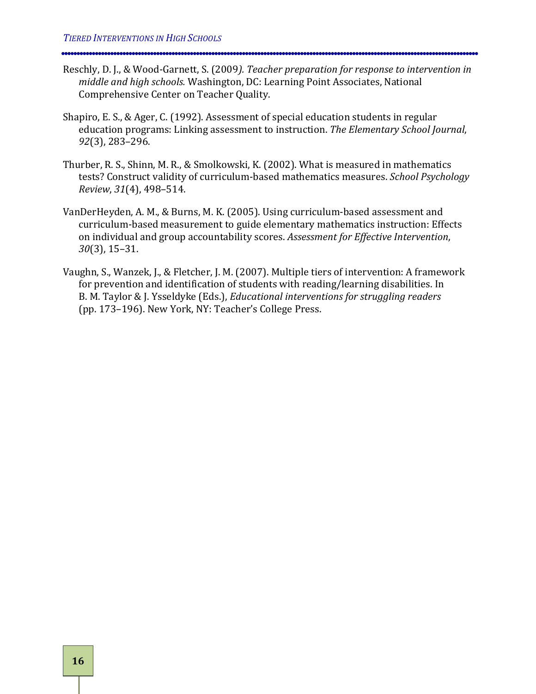- Reschly, D. J., & Wood-Garnett, S. (2009*). Teacher preparation for response to intervention in middle and high schools.* Washington, DC: Learning Point Associates, National Comprehensive Center on Teacher Quality.
- Shapiro, E. S., & Ager, C. (1992). Assessment of special education students in regular education programs: Linking assessment to instruction. *The Elementary School Journal*, *92* (3), 283–296.
- Thurber, R. S., Shinn, M. R., & Smolkowski, K. (2002). What is measured in mathematics tests? Construct validity of curriculum-based mathematics measures. *School Psychology Review*, *31* (4), 498–514.
- VanDerHeyden, A. M., & Burns, M. K. (2005). Using curriculum-based assessment and curriculum-based measurement to guide elementary mathematics instruction: Effects on individual and group accountability scores. *Assessment for Effective Intervention*, *30* (3), 15–31.
- Vaughn, S., Wanzek, J., & Fletcher, J. M. (2007). Multiple tiers of intervention: A framework for prevention and identification of students with reading/learning disabilities. In B. M. Taylor & J. Ysseldyke (Eds.), *Educational interventions for struggling readers*  (pp. 173–196). New York, NY: Teacher's College Press.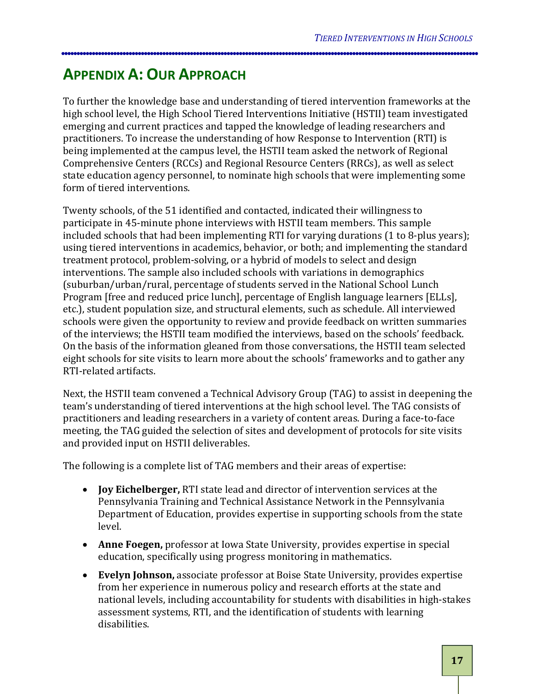## <span id="page-22-0"></span>**APPENDIX A: OUR APPROACH**

To further the knowledge base and understanding of tiered intervention frameworks at the high school level, the High School Tiered Interventions Initiative (HSTII) team investigated emerging and current practices and tapped the knowledge of leading researchers and practitioners. To increase the understanding of how Response to Intervention (RTI) is being implemented at the campus level, the HSTII team asked the network of Regional Comprehensive Centers (RCCs) and Regional Resource Centers (RRCs), as well as select state education agency personnel, to nominate high schools that were implementing some form of tiered interventions.

Twenty schools, of the 51 identified and contacted, indicated their willingness to participate in 45-minute phone interviews with HSTII team members. This sample included schools that had been implementing RTI for varying durations (1 to 8-plus years); using tiered interventions in academics, behavior, or both; and implementing the standard treatment protocol, problem-solving, or a hybrid of models to select and design interventions. The sample also included schools with variations in demographics (suburban/urban/rural, percentage of students served in the National School Lunch Program [free and reduced price lunch], percentage of English language learners [ELLs], etc.), student population size, and structural elements, such as schedule. All interviewed schools were given the opportunity to review and provide feedback on written summaries of the interviews; the HSTII team modified the interviews, based on the schools' feedback. On the basis of the information gleaned from those conversations, the HSTII team selected eight schools for site visits to learn more about the schools' frameworks and to gather any RTI-related artifacts.

Next, the HSTII team convened a Technical Advisory Group (TAG) to assist in deepening the team's understanding of tiered interventions at the high school level. The TAG consists of practitioners and leading researchers in a variety of content areas. During a face-to-face meeting, the TAG guided the selection of sites and development of protocols for site visits and provided input on HSTII deliverables.

The following is a complete list of TAG members and their areas of expertise:

- **Joy Eichelberger,**  RTI state lead and director of intervention services at the Pennsylvania Training and Technical Assistance Network in the Pennsylvania Department of Education, provides expertise in supporting schools from the state level.
- **Anne Foegen,** professor at Iowa State University, provides expertise in special education, specifically using progress monitoring in mathematics.
- **Evelyn Johnson,** associate professor at Boise State University, provides expertise from her experience in numerous policy and research efforts at the state and national levels, including accountability for students with disabilities in high-stakes assessment systems, RTI, and the identification of students with learning disabilities.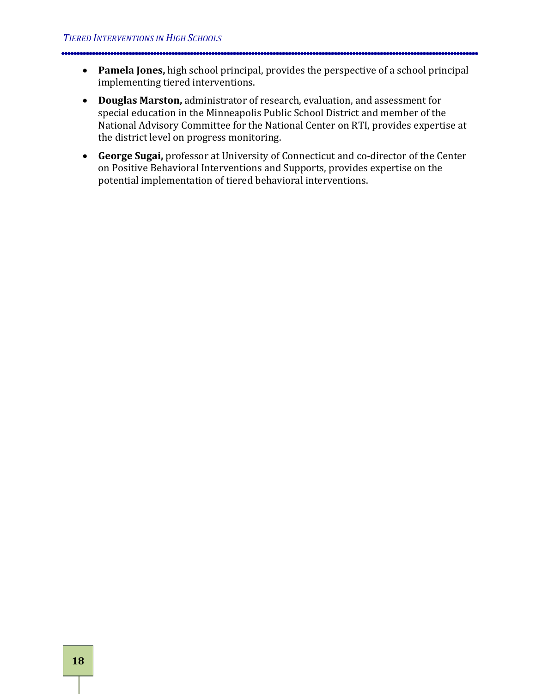- **Pamela Jones,** high school principal, provides the perspective of a school principal implementing tiered interventions.
- **Douglas Marston,** administrator of research, evaluation, and assessment for special education in the Minneapolis Public School District and member of the National Advisory Committee for the National Center on RTI, provides expertise at the district level on progress monitoring.
- **George Sugai,** professor at University of Connecticut and co-director of the Center on Positive Behavioral Interventions and Supports, provides expertise on the potential implementation of tiered behavioral interventions.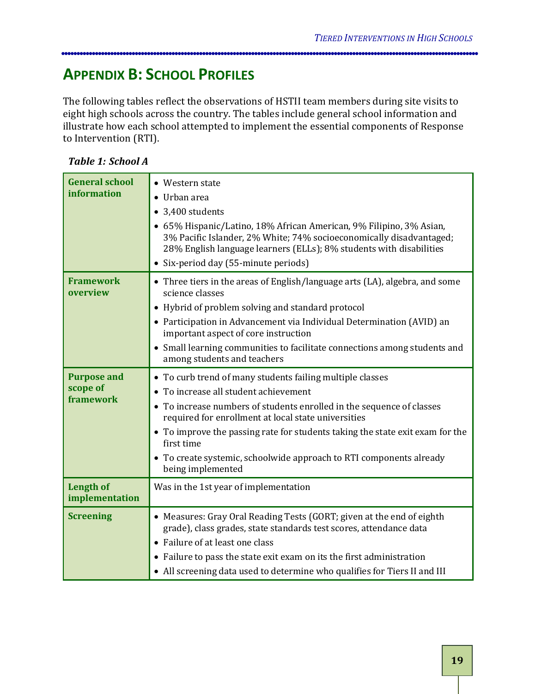## <span id="page-24-0"></span>**APPENDIX B: SCHOOL PROFILES**

The following tables reflect the observations of HSTII team members during site visits to eight high schools across the country. The tables include general school information and illustrate how each school attempted to implement the essential components of Response to Intervention (RTI).

#### *Table 1: School A*

| <b>General school</b>              | • Western state                                                                                                                                                                                                   |
|------------------------------------|-------------------------------------------------------------------------------------------------------------------------------------------------------------------------------------------------------------------|
| information                        | Urban area                                                                                                                                                                                                        |
|                                    | • 3,400 students                                                                                                                                                                                                  |
|                                    | • 65% Hispanic/Latino, 18% African American, 9% Filipino, 3% Asian,<br>3% Pacific Islander, 2% White; 74% socioeconomically disadvantaged;<br>28% English language learners (ELLs); 8% students with disabilities |
|                                    | • Six-period day (55-minute periods)                                                                                                                                                                              |
| <b>Framework</b><br>overview       | • Three tiers in the areas of English/language arts (LA), algebra, and some<br>science classes                                                                                                                    |
|                                    | • Hybrid of problem solving and standard protocol                                                                                                                                                                 |
|                                    | • Participation in Advancement via Individual Determination (AVID) an<br>important aspect of core instruction                                                                                                     |
|                                    | • Small learning communities to facilitate connections among students and<br>among students and teachers                                                                                                          |
| <b>Purpose and</b>                 | • To curb trend of many students failing multiple classes                                                                                                                                                         |
| scope of<br>framework              | • To increase all student achievement                                                                                                                                                                             |
|                                    | • To increase numbers of students enrolled in the sequence of classes<br>required for enrollment at local state universities                                                                                      |
|                                    | • To improve the passing rate for students taking the state exit exam for the<br>first time                                                                                                                       |
|                                    | • To create systemic, schoolwide approach to RTI components already<br>being implemented                                                                                                                          |
| <b>Length of</b><br>implementation | Was in the 1st year of implementation                                                                                                                                                                             |
| <b>Screening</b>                   | • Measures: Gray Oral Reading Tests (GORT; given at the end of eighth<br>grade), class grades, state standards test scores, attendance data                                                                       |
|                                    | • Failure of at least one class                                                                                                                                                                                   |
|                                    | • Failure to pass the state exit exam on its the first administration                                                                                                                                             |
|                                    | • All screening data used to determine who qualifies for Tiers II and III                                                                                                                                         |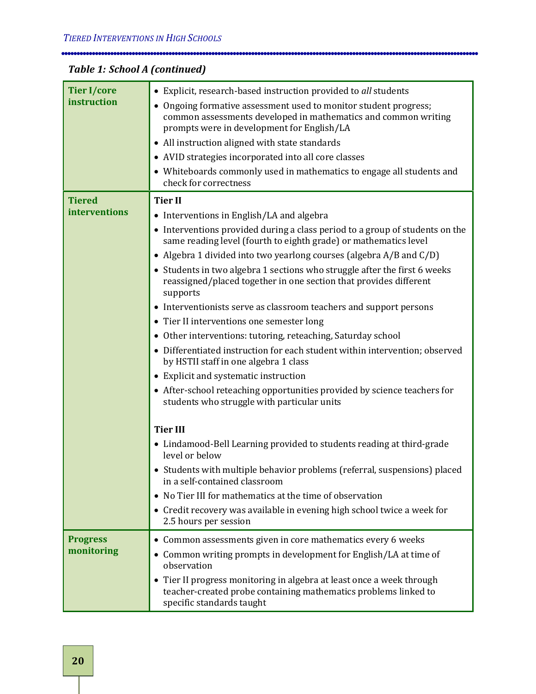## *Table 1: School A (continued)*

| <b>Tier I/core</b><br>instruction | • Explicit, research-based instruction provided to all students<br>• Ongoing formative assessment used to monitor student progress;<br>common assessments developed in mathematics and common writing<br>prompts were in development for English/LA<br>• All instruction aligned with state standards<br>• AVID strategies incorporated into all core classes<br>• Whiteboards commonly used in mathematics to engage all students and<br>check for correctness                                                                                                                                                                                                                                                                                                                                          |
|-----------------------------------|----------------------------------------------------------------------------------------------------------------------------------------------------------------------------------------------------------------------------------------------------------------------------------------------------------------------------------------------------------------------------------------------------------------------------------------------------------------------------------------------------------------------------------------------------------------------------------------------------------------------------------------------------------------------------------------------------------------------------------------------------------------------------------------------------------|
| <b>Tiered</b><br>interventions    | <b>Tier II</b><br>• Interventions in English/LA and algebra<br>• Interventions provided during a class period to a group of students on the<br>same reading level (fourth to eighth grade) or mathematics level<br>• Algebra 1 divided into two yearlong courses (algebra A/B and C/D)<br>• Students in two algebra 1 sections who struggle after the first 6 weeks<br>reassigned/placed together in one section that provides different<br>supports<br>• Interventionists serve as classroom teachers and support persons<br>• Tier II interventions one semester long<br>• Other interventions: tutoring, reteaching, Saturday school<br>• Differentiated instruction for each student within intervention; observed<br>by HSTII staff in one algebra 1 class<br>• Explicit and systematic instruction |
|                                   | • After-school reteaching opportunities provided by science teachers for<br>students who struggle with particular units<br><b>Tier III</b><br>• Lindamood-Bell Learning provided to students reading at third-grade<br>level or below<br>• Students with multiple behavior problems (referral, suspensions) placed<br>in a self-contained classroom<br>No Tier III for mathematics at the time of observation<br>$\bullet$<br>• Credit recovery was available in evening high school twice a week for<br>2.5 hours per session                                                                                                                                                                                                                                                                           |
| <b>Progress</b><br>monitoring     | • Common assessments given in core mathematics every 6 weeks<br>• Common writing prompts in development for English/LA at time of<br>observation<br>• Tier II progress monitoring in algebra at least once a week through<br>teacher-created probe containing mathematics problems linked to<br>specific standards taught                                                                                                                                                                                                                                                                                                                                                                                                                                                                                |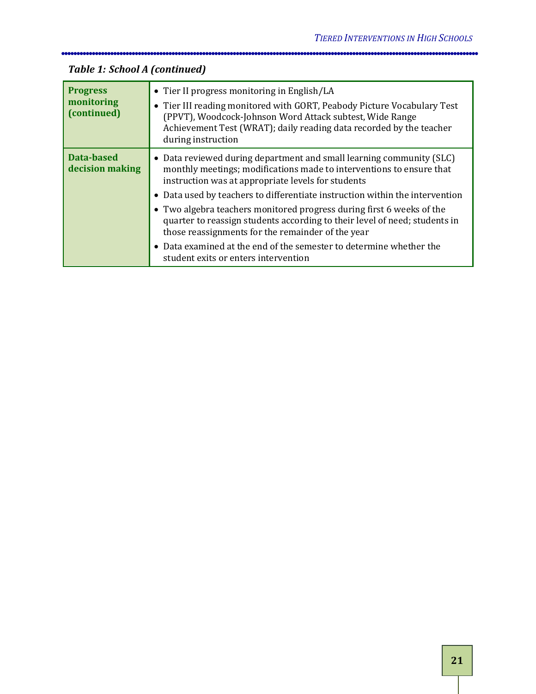| <b>Progress</b><br>monitoring<br>(continued) | • Tier II progress monitoring in English/LA<br>• Tier III reading monitored with GORT, Peabody Picture Vocabulary Test<br>(PPVT), Woodcock-Johnson Word Attack subtest, Wide Range<br>Achievement Test (WRAT); daily reading data recorded by the teacher<br>during instruction |
|----------------------------------------------|---------------------------------------------------------------------------------------------------------------------------------------------------------------------------------------------------------------------------------------------------------------------------------|
| Data-based<br>decision making                | • Data reviewed during department and small learning community (SLC)<br>monthly meetings; modifications made to interventions to ensure that<br>instruction was at appropriate levels for students                                                                              |
|                                              | • Data used by teachers to differentiate instruction within the intervention<br>• Two algebra teachers monitored progress during first 6 weeks of the<br>quarter to reassign students according to their level of need; students in                                             |
|                                              | those reassignments for the remainder of the year<br>• Data examined at the end of the semester to determine whether the<br>student exits or enters intervention                                                                                                                |

## *Table 1: School A (continued)*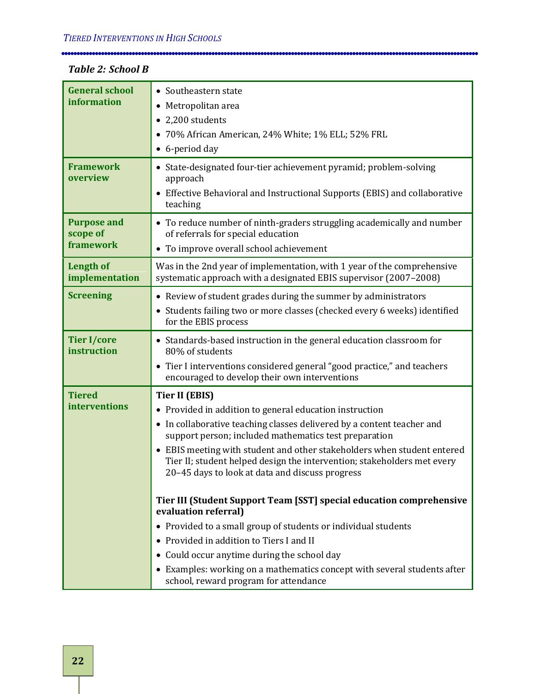#### *Table 2: School B*

| <b>General school</b><br>information        | • Southeastern state<br>Metropolitan area<br>$\bullet$<br>• 2,200 students                                                                                                                                                                                                                                                                                                                                                   |
|---------------------------------------------|------------------------------------------------------------------------------------------------------------------------------------------------------------------------------------------------------------------------------------------------------------------------------------------------------------------------------------------------------------------------------------------------------------------------------|
|                                             | 70% African American, 24% White; 1% ELL; 52% FRL<br>$\bullet$<br>• 6-period day                                                                                                                                                                                                                                                                                                                                              |
| <b>Framework</b><br>overview                | • State-designated four-tier achievement pyramid; problem-solving<br>approach<br>Effective Behavioral and Instructional Supports (EBIS) and collaborative<br>$\bullet$<br>teaching                                                                                                                                                                                                                                           |
| <b>Purpose and</b><br>scope of<br>framework | • To reduce number of ninth-graders struggling academically and number<br>of referrals for special education<br>• To improve overall school achievement                                                                                                                                                                                                                                                                      |
| <b>Length of</b><br>implementation          | Was in the 2nd year of implementation, with 1 year of the comprehensive<br>systematic approach with a designated EBIS supervisor (2007-2008)                                                                                                                                                                                                                                                                                 |
| <b>Screening</b>                            | • Review of student grades during the summer by administrators<br>Students failing two or more classes (checked every 6 weeks) identified<br>$\bullet$<br>for the EBIS process                                                                                                                                                                                                                                               |
| <b>Tier I/core</b><br>instruction           | • Standards-based instruction in the general education classroom for<br>80% of students                                                                                                                                                                                                                                                                                                                                      |
|                                             | • Tier I interventions considered general "good practice," and teachers<br>encouraged to develop their own interventions                                                                                                                                                                                                                                                                                                     |
| <b>Tiered</b><br><b>interventions</b>       | <b>Tier II (EBIS)</b><br>• Provided in addition to general education instruction<br>• In collaborative teaching classes delivered by a content teacher and<br>support person; included mathematics test preparation<br>• EBIS meeting with student and other stakeholders when student entered<br>Tier II; student helped design the intervention; stakeholders met every<br>20-45 days to look at data and discuss progress |
|                                             | Tier III (Student Support Team [SST] special education comprehensive<br>evaluation referral)                                                                                                                                                                                                                                                                                                                                 |
|                                             | • Provided to a small group of students or individual students                                                                                                                                                                                                                                                                                                                                                               |
|                                             | • Provided in addition to Tiers I and II                                                                                                                                                                                                                                                                                                                                                                                     |
|                                             | • Could occur anytime during the school day                                                                                                                                                                                                                                                                                                                                                                                  |
|                                             | • Examples: working on a mathematics concept with several students after<br>school, reward program for attendance                                                                                                                                                                                                                                                                                                            |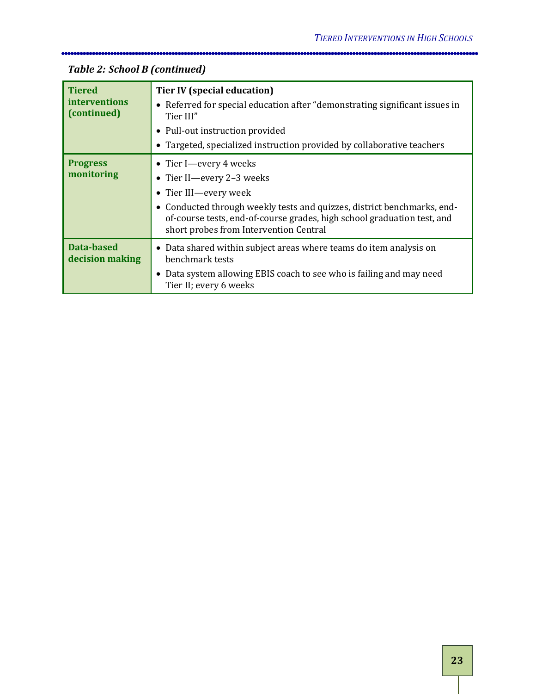| <b>Tiered</b><br>interventions<br>(continued) | <b>Tier IV (special education)</b><br>• Referred for special education after "demonstrating significant issues in<br>Tier III"<br>• Pull-out instruction provided<br>• Targeted, specialized instruction provided by collaborative teachers                                  |
|-----------------------------------------------|------------------------------------------------------------------------------------------------------------------------------------------------------------------------------------------------------------------------------------------------------------------------------|
| <b>Progress</b><br>monitoring                 | • Tier I—every 4 weeks<br>• Tier II—every 2-3 weeks<br>• Tier III—every week<br>• Conducted through weekly tests and quizzes, district benchmarks, end-<br>of-course tests, end-of-course grades, high school graduation test, and<br>short probes from Intervention Central |
| Data-based<br>decision making                 | • Data shared within subject areas where teams do item analysis on<br>benchmark tests<br>• Data system allowing EBIS coach to see who is failing and may need<br>Tier II; every 6 weeks                                                                                      |

## *Table 2: School B (continued)*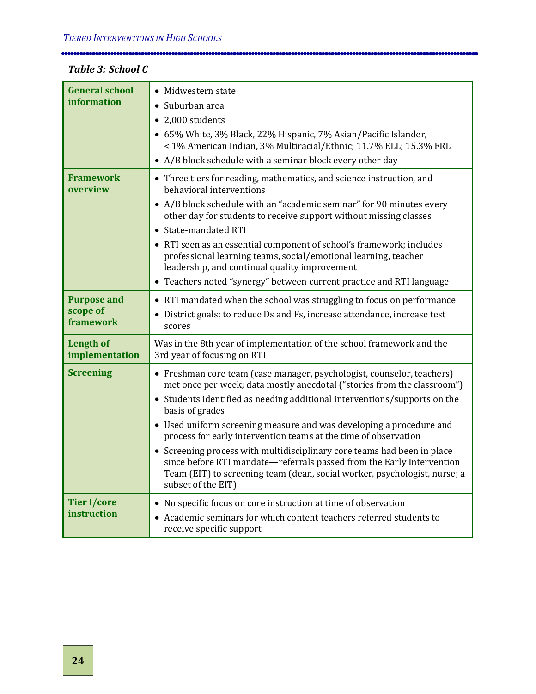#### *Table 3: School C*

| <b>General school</b><br>information        | • Midwestern state<br>• Suburban area<br>• 2,000 students<br>• 65% White, 3% Black, 22% Hispanic, 7% Asian/Pacific Islander,<br>< 1% American Indian, 3% Multiracial/Ethnic; 11.7% ELL; 15.3% FRL<br>• A/B block schedule with a seminar block every other day                                                                                                                                                                                                                                                                                                                                                                                     |
|---------------------------------------------|----------------------------------------------------------------------------------------------------------------------------------------------------------------------------------------------------------------------------------------------------------------------------------------------------------------------------------------------------------------------------------------------------------------------------------------------------------------------------------------------------------------------------------------------------------------------------------------------------------------------------------------------------|
| <b>Framework</b><br>overview                | • Three tiers for reading, mathematics, and science instruction, and<br>behavioral interventions<br>• A/B block schedule with an "academic seminar" for 90 minutes every<br>other day for students to receive support without missing classes<br>• State-mandated RTI<br>• RTI seen as an essential component of school's framework; includes<br>professional learning teams, social/emotional learning, teacher<br>leadership, and continual quality improvement<br>• Teachers noted "synergy" between current practice and RTI language                                                                                                          |
| <b>Purpose and</b><br>scope of<br>framework | • RTI mandated when the school was struggling to focus on performance<br>• District goals: to reduce Ds and Fs, increase attendance, increase test<br>scores                                                                                                                                                                                                                                                                                                                                                                                                                                                                                       |
| <b>Length of</b><br>implementation          | Was in the 8th year of implementation of the school framework and the<br>3rd year of focusing on RTI                                                                                                                                                                                                                                                                                                                                                                                                                                                                                                                                               |
| <b>Screening</b>                            | • Freshman core team (case manager, psychologist, counselor, teachers)<br>met once per week; data mostly anecdotal ("stories from the classroom")<br>• Students identified as needing additional interventions/supports on the<br>basis of grades<br>• Used uniform screening measure and was developing a procedure and<br>process for early intervention teams at the time of observation<br>• Screening process with multidisciplinary core teams had been in place<br>since before RTI mandate-referrals passed from the Early Intervention<br>Team (EIT) to screening team (dean, social worker, psychologist, nurse; a<br>subset of the EIT) |
| <b>Tier I/core</b><br>instruction           | • No specific focus on core instruction at time of observation<br>• Academic seminars for which content teachers referred students to<br>receive specific support                                                                                                                                                                                                                                                                                                                                                                                                                                                                                  |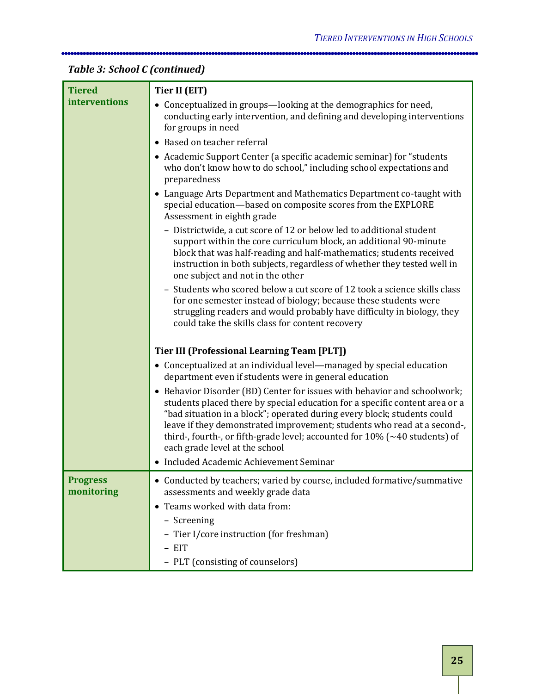## *Table 3: School C (continued)*

| <b>Tiered</b>                 | <b>Tier II (EIT)</b>                                                                                                                                                                                                                                                                                                                                                                                                                    |
|-------------------------------|-----------------------------------------------------------------------------------------------------------------------------------------------------------------------------------------------------------------------------------------------------------------------------------------------------------------------------------------------------------------------------------------------------------------------------------------|
| interventions                 | • Conceptualized in groups—looking at the demographics for need,<br>conducting early intervention, and defining and developing interventions<br>for groups in need                                                                                                                                                                                                                                                                      |
|                               | • Based on teacher referral                                                                                                                                                                                                                                                                                                                                                                                                             |
|                               | • Academic Support Center (a specific academic seminar) for "students<br>who don't know how to do school," including school expectations and<br>preparedness                                                                                                                                                                                                                                                                            |
|                               | • Language Arts Department and Mathematics Department co-taught with<br>special education-based on composite scores from the EXPLORE<br>Assessment in eighth grade                                                                                                                                                                                                                                                                      |
|                               | - Districtwide, a cut score of 12 or below led to additional student<br>support within the core curriculum block, an additional 90-minute<br>block that was half-reading and half-mathematics; students received<br>instruction in both subjects, regardless of whether they tested well in<br>one subject and not in the other                                                                                                         |
|                               | - Students who scored below a cut score of 12 took a science skills class<br>for one semester instead of biology; because these students were<br>struggling readers and would probably have difficulty in biology, they<br>could take the skills class for content recovery                                                                                                                                                             |
|                               | Tier III (Professional Learning Team [PLT])                                                                                                                                                                                                                                                                                                                                                                                             |
|                               | • Conceptualized at an individual level—managed by special education<br>department even if students were in general education                                                                                                                                                                                                                                                                                                           |
|                               | • Behavior Disorder (BD) Center for issues with behavior and schoolwork;<br>students placed there by special education for a specific content area or a<br>"bad situation in a block"; operated during every block; students could<br>leave if they demonstrated improvement; students who read at a second-,<br>third-, fourth-, or fifth-grade level; accounted for $10\%$ ( $\sim$ 40 students) of<br>each grade level at the school |
|                               | • Included Academic Achievement Seminar                                                                                                                                                                                                                                                                                                                                                                                                 |
| <b>Progress</b><br>monitoring | • Conducted by teachers; varied by course, included formative/summative<br>assessments and weekly grade data<br>• Teams worked with data from:                                                                                                                                                                                                                                                                                          |
|                               | - Screening                                                                                                                                                                                                                                                                                                                                                                                                                             |
|                               | - Tier I/core instruction (for freshman)                                                                                                                                                                                                                                                                                                                                                                                                |
|                               | - EIT                                                                                                                                                                                                                                                                                                                                                                                                                                   |
|                               | - PLT (consisting of counselors)                                                                                                                                                                                                                                                                                                                                                                                                        |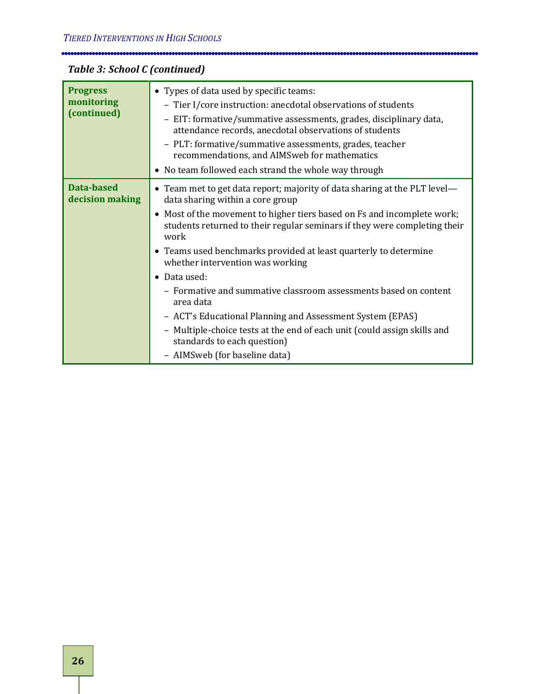## *Table 3: School C (continued)*

| <b>Progress</b><br>monitoring<br>(continued) | • Types of data used by specific teams:<br>- Tier I/core instruction: anecdotal observations of students<br>- EIT: formative/summative assessments, grades, disciplinary data,<br>attendance records, anecdotal observations of students<br>- PLT: formative/summative assessments, grades, teacher<br>recommendations, and AIMSweb for mathematics<br>• No team followed each strand the whole way through                                                                                                                                         |
|----------------------------------------------|-----------------------------------------------------------------------------------------------------------------------------------------------------------------------------------------------------------------------------------------------------------------------------------------------------------------------------------------------------------------------------------------------------------------------------------------------------------------------------------------------------------------------------------------------------|
| <b>Data-based</b><br>decision making         | • Team met to get data report; majority of data sharing at the PLT level-<br>data sharing within a core group<br>• Most of the movement to higher tiers based on Fs and incomplete work;<br>students returned to their regular seminars if they were completing their<br>work<br>• Teams used benchmarks provided at least quarterly to determine<br>whether intervention was working<br>• Data used:<br>- Formative and summative classroom assessments based on content<br>area data<br>- ACT's Educational Planning and Assessment System (EPAS) |
|                                              | - Multiple-choice tests at the end of each unit (could assign skills and<br>standards to each question)<br>- AIMSweb (for baseline data)                                                                                                                                                                                                                                                                                                                                                                                                            |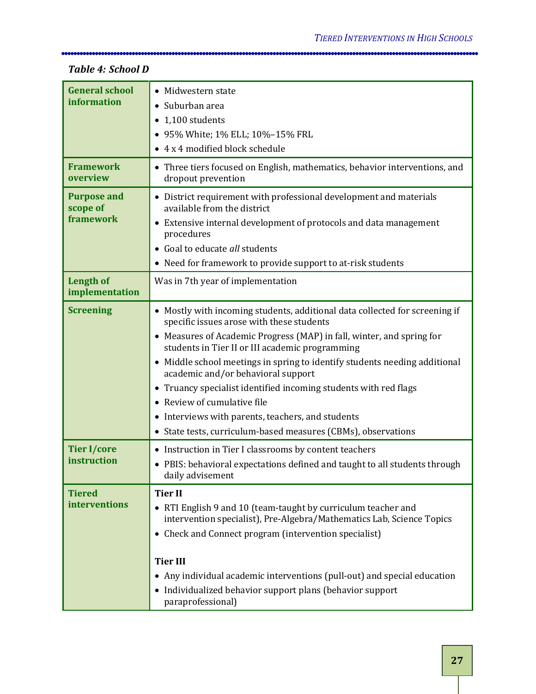| <b>General school</b>          | • Midwestern state                                                                                                       |
|--------------------------------|--------------------------------------------------------------------------------------------------------------------------|
| information                    | Suburban area                                                                                                            |
|                                | $\bullet$ 1,100 students                                                                                                 |
|                                | • 95% White; 1% ELL; 10%-15% FRL                                                                                         |
|                                | • 4 x 4 modified block schedule                                                                                          |
| <b>Framework</b><br>overview   | • Three tiers focused on English, mathematics, behavior interventions, and<br>dropout prevention                         |
| <b>Purpose and</b><br>scope of | • District requirement with professional development and materials<br>available from the district                        |
| framework                      | • Extensive internal development of protocols and data management<br>procedures                                          |
|                                | • Goal to educate all students                                                                                           |
|                                | • Need for framework to provide support to at-risk students                                                              |
| <b>Length of</b>               | Was in 7th year of implementation                                                                                        |
| implementation                 |                                                                                                                          |
| <b>Screening</b>               | • Mostly with incoming students, additional data collected for screening if<br>specific issues arose with these students |
|                                | • Measures of Academic Progress (MAP) in fall, winter, and spring for<br>students in Tier II or III academic programming |
|                                | • Middle school meetings in spring to identify students needing additional<br>academic and/or behavioral support         |
|                                | • Truancy specialist identified incoming students with red flags                                                         |
|                                | • Review of cumulative file                                                                                              |
|                                | • Interviews with parents, teachers, and students                                                                        |
|                                | • State tests, curriculum-based measures (CBMs), observations                                                            |
| <b>Tier I/core</b>             | • Instruction in Tier I classrooms by content teachers                                                                   |
| instruction                    | • PBIS: behavioral expectations defined and taught to all students through                                               |
|                                | daily advisement                                                                                                         |
| <b>Tiered</b>                  | <b>Tier II</b>                                                                                                           |
| interventions                  | • RTI English 9 and 10 (team-taught by curriculum teacher and                                                            |
|                                | intervention specialist), Pre-Algebra/Mathematics Lab, Science Topics                                                    |
|                                | • Check and Connect program (intervention specialist)                                                                    |
|                                | <b>Tier III</b>                                                                                                          |
|                                | • Any individual academic interventions (pull-out) and special education                                                 |
|                                | • Individualized behavior support plans (behavior support                                                                |
|                                | paraprofessional)                                                                                                        |

#### *Table 4: School D*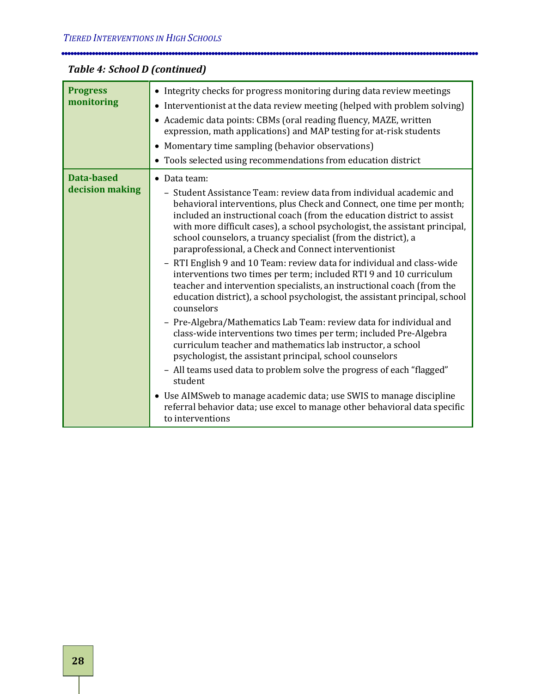## *Table 4: School D (continued)*

| <b>Progress</b><br>monitoring        | • Integrity checks for progress monitoring during data review meetings<br>• Interventionist at the data review meeting (helped with problem solving)<br>• Academic data points: CBMs (oral reading fluency, MAZE, written<br>expression, math applications) and MAP testing for at-risk students<br>• Momentary time sampling (behavior observations)<br>• Tools selected using recommendations from education district                                                                                                                                                                                                                                                                                                                                                                                                                                                                                                                                                                                                                                                                                                                                                                                                                                                                                      |
|--------------------------------------|--------------------------------------------------------------------------------------------------------------------------------------------------------------------------------------------------------------------------------------------------------------------------------------------------------------------------------------------------------------------------------------------------------------------------------------------------------------------------------------------------------------------------------------------------------------------------------------------------------------------------------------------------------------------------------------------------------------------------------------------------------------------------------------------------------------------------------------------------------------------------------------------------------------------------------------------------------------------------------------------------------------------------------------------------------------------------------------------------------------------------------------------------------------------------------------------------------------------------------------------------------------------------------------------------------------|
| <b>Data-based</b><br>decision making | • Data team:<br>- Student Assistance Team: review data from individual academic and<br>behavioral interventions, plus Check and Connect, one time per month;<br>included an instructional coach (from the education district to assist<br>with more difficult cases), a school psychologist, the assistant principal,<br>school counselors, a truancy specialist (from the district), a<br>paraprofessional, a Check and Connect interventionist<br>- RTI English 9 and 10 Team: review data for individual and class-wide<br>interventions two times per term; included RTI 9 and 10 curriculum<br>teacher and intervention specialists, an instructional coach (from the<br>education district), a school psychologist, the assistant principal, school<br>counselors<br>- Pre-Algebra/Mathematics Lab Team: review data for individual and<br>class-wide interventions two times per term; included Pre-Algebra<br>curriculum teacher and mathematics lab instructor, a school<br>psychologist, the assistant principal, school counselors<br>- All teams used data to problem solve the progress of each "flagged"<br>student<br>• Use AIMS web to manage academic data; use SWIS to manage discipline<br>referral behavior data; use excel to manage other behavioral data specific<br>to interventions |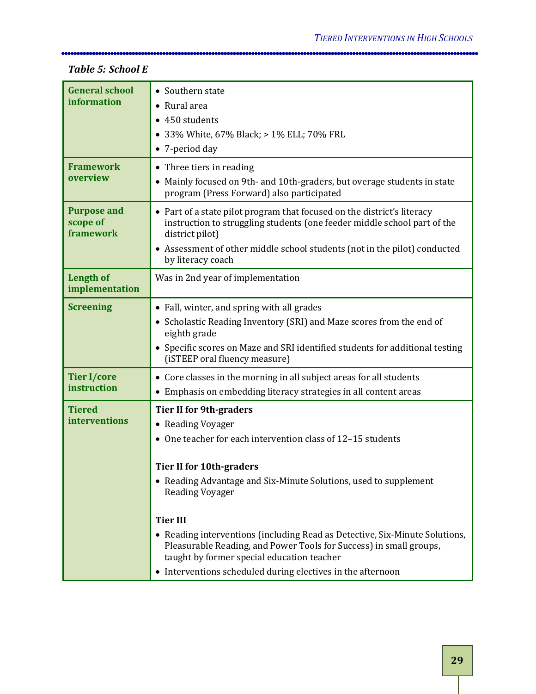#### **General school information** • Southern state • Rural area • 450 students • 33% White, 67% Black; > 1% ELL; 70% FRL • 7-period day **Framework overview** • Three tiers in reading • Mainly focused on 9th- and 10th-graders, but overage students in state program (Press Forward) also participated **Purpose and scope of framework** • Part of a state pilot program that focused on the district's literacy instruction to struggling students (one feeder middle school part of the district pilot) • Assessment of other middle school students (not in the pilot) conducted by literacy coach **Length of implementation** Was in 2nd year of implementation **Screening** • Fall, winter, and spring with all grades • Scholastic Reading Inventory (SRI) and Maze scores from the end of eighth grade • Specific scores on Maze and SRI identified students for additional testing (iSTEEP oral fluency measure) **Tier I/core instruction**  • Core classes in the morning in all subject areas for all students • Emphasis on embedding literacy strategies in all content areas **Tiered interventions Tier II for 9th-graders** • Reading Voyager • One teacher for each intervention class of 12–15 students **Tier II for 10th-graders** • Reading Advantage and Six-Minute Solutions, used to supplement Reading Voyager **Tier III** • Reading interventions (including Read as Detective, Six-Minute Solutions, Pleasurable Reading, and Power Tools for Success) in small groups,

taught by former special education teacher

• Interventions scheduled during electives in the afternoon

#### *Table 5: School E*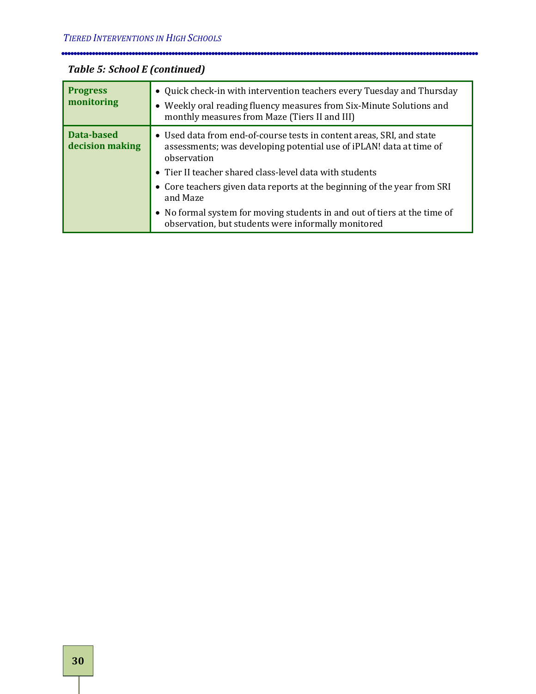| <b>Progress</b><br>monitoring | • Quick check-in with intervention teachers every Tuesday and Thursday<br>• Weekly oral reading fluency measures from Six-Minute Solutions and<br>monthly measures from Maze (Tiers II and III)                          |
|-------------------------------|--------------------------------------------------------------------------------------------------------------------------------------------------------------------------------------------------------------------------|
| Data-based<br>decision making | • Used data from end-of-course tests in content areas, SRI, and state<br>assessments; was developing potential use of iPLAN! data at time of<br>observation<br>• Tier II teacher shared class-level data with students   |
|                               | • Core teachers given data reports at the beginning of the year from SRI<br>and Maze<br>• No formal system for moving students in and out of tiers at the time of<br>observation, but students were informally monitored |

## *Table 5: School E (continued)*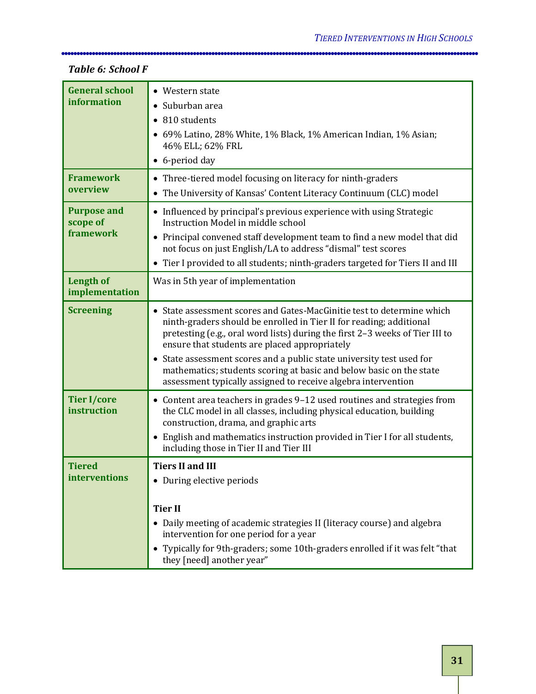#### **General school information** • Western state • Suburban area • 810 students • 69% Latino, 28% White, 1% Black, 1% American Indian, 1% Asian; 46% ELL; 62% FRL • 6-period day **Framework overview** • Three-tiered model focusing on literacy for ninth-graders • The University of Kansas' Content Literacy Continuum (CLC) model **Purpose and scope of framework** • Influenced by principal's previous experience with using Strategic Instruction Model in middle school • Principal convened staff development team to find a new model that did not focus on just English/LA to address "dismal" test scores • Tier I provided to all students; ninth-graders targeted for Tiers II and III **Length of implementation** Was in 5th year of implementation **Screening** • State assessment scores and Gates-MacGinitie test to determine which ninth-graders should be enrolled in Tier II for reading; additional pretesting (e.g., oral word lists) during the first 2–3 weeks of Tier III to ensure that students are placed appropriately • State assessment scores and a public state university test used for mathematics; students scoring at basic and below basic on the state assessment typically assigned to receive algebra intervention **Tier I/core instruction**  • Content area teachers in grades 9–12 used routines and strategies from the CLC model in all classes, including physical education, building construction, drama, and graphic arts • English and mathematics instruction provided in Tier I for all students, including those in Tier II and Tier III **Tiered interventions Tiers II and III** • During elective periods **Tier II** • Daily meeting of academic strategies II (literacy course) and algebra intervention for one period for a year • Typically for 9th-graders; some 10th-graders enrolled if it was felt "that they [need] another year"

#### *Table 6: School F*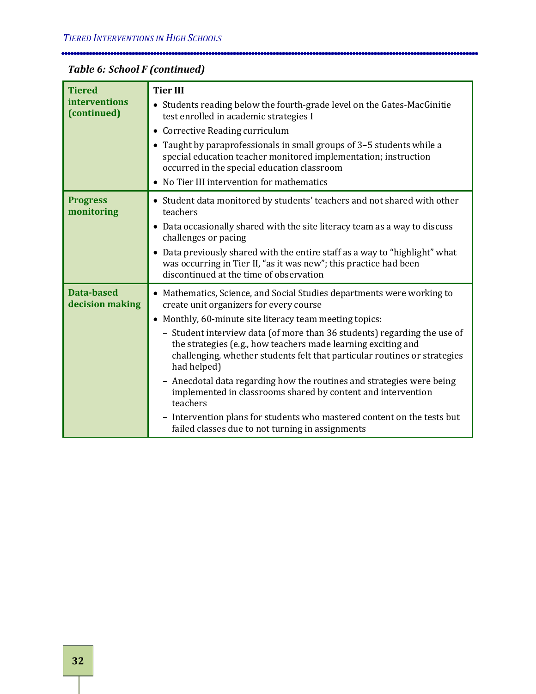| Table 6: School F (continued) |  |
|-------------------------------|--|
|-------------------------------|--|

r.

| <b>Tiered</b><br>interventions<br>(continued) | <b>Tier III</b><br>• Students reading below the fourth-grade level on the Gates-MacGinitie                                                                                                                                            |
|-----------------------------------------------|---------------------------------------------------------------------------------------------------------------------------------------------------------------------------------------------------------------------------------------|
|                                               | test enrolled in academic strategies I                                                                                                                                                                                                |
|                                               | Corrective Reading curriculum                                                                                                                                                                                                         |
|                                               | • Taught by paraprofessionals in small groups of 3-5 students while a<br>special education teacher monitored implementation; instruction<br>occurred in the special education classroom                                               |
|                                               | • No Tier III intervention for mathematics                                                                                                                                                                                            |
| <b>Progress</b><br>monitoring                 | • Student data monitored by students' teachers and not shared with other<br>teachers                                                                                                                                                  |
|                                               | Data occasionally shared with the site literacy team as a way to discuss<br>٠<br>challenges or pacing                                                                                                                                 |
|                                               | • Data previously shared with the entire staff as a way to "highlight" what<br>was occurring in Tier II, "as it was new"; this practice had been<br>discontinued at the time of observation                                           |
| <b>Data-based</b><br>decision making          | • Mathematics, Science, and Social Studies departments were working to<br>create unit organizers for every course                                                                                                                     |
|                                               | • Monthly, 60-minute site literacy team meeting topics:                                                                                                                                                                               |
|                                               | - Student interview data (of more than 36 students) regarding the use of<br>the strategies (e.g., how teachers made learning exciting and<br>challenging, whether students felt that particular routines or strategies<br>had helped) |
|                                               | Anecdotal data regarding how the routines and strategies were being<br>$\qquad \qquad -$<br>implemented in classrooms shared by content and intervention<br>teachers                                                                  |
|                                               | - Intervention plans for students who mastered content on the tests but<br>failed classes due to not turning in assignments                                                                                                           |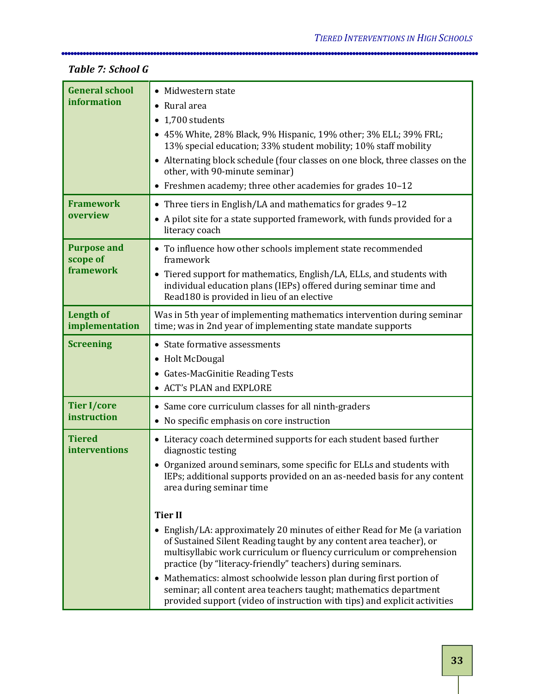| <b>General school</b><br>information        | • Midwestern state<br>• Rural area<br>1,700 students<br>• 45% White, 28% Black, 9% Hispanic, 19% other; 3% ELL; 39% FRL;<br>13% special education; 33% student mobility; 10% staff mobility                                                                                                                                                                                                                                                                                                                                                                                                                                                                                                                                                                                                                       |
|---------------------------------------------|-------------------------------------------------------------------------------------------------------------------------------------------------------------------------------------------------------------------------------------------------------------------------------------------------------------------------------------------------------------------------------------------------------------------------------------------------------------------------------------------------------------------------------------------------------------------------------------------------------------------------------------------------------------------------------------------------------------------------------------------------------------------------------------------------------------------|
|                                             | • Alternating block schedule (four classes on one block, three classes on the<br>other, with 90-minute seminar)<br>• Freshmen academy; three other academies for grades 10-12                                                                                                                                                                                                                                                                                                                                                                                                                                                                                                                                                                                                                                     |
| <b>Framework</b><br>overview                | • Three tiers in English/LA and mathematics for grades 9-12<br>• A pilot site for a state supported framework, with funds provided for a<br>literacy coach                                                                                                                                                                                                                                                                                                                                                                                                                                                                                                                                                                                                                                                        |
| <b>Purpose and</b><br>scope of<br>framework | • To influence how other schools implement state recommended<br>framework<br>• Tiered support for mathematics, English/LA, ELLs, and students with<br>individual education plans (IEPs) offered during seminar time and<br>Read180 is provided in lieu of an elective                                                                                                                                                                                                                                                                                                                                                                                                                                                                                                                                             |
| <b>Length of</b><br>implementation          | Was in 5th year of implementing mathematics intervention during seminar<br>time; was in 2nd year of implementing state mandate supports                                                                                                                                                                                                                                                                                                                                                                                                                                                                                                                                                                                                                                                                           |
| <b>Screening</b>                            | • State formative assessments<br>• Holt McDougal<br>• Gates-MacGinitie Reading Tests<br>• ACT's PLAN and EXPLORE                                                                                                                                                                                                                                                                                                                                                                                                                                                                                                                                                                                                                                                                                                  |
| <b>Tier I/core</b><br>instruction           | • Same core curriculum classes for all ninth-graders<br>• No specific emphasis on core instruction                                                                                                                                                                                                                                                                                                                                                                                                                                                                                                                                                                                                                                                                                                                |
| <b>Tiered</b><br>interventions              | • Literacy coach determined supports for each student based further<br>diagnostic testing<br>• Organized around seminars, some specific for ELLs and students with<br>IEPs; additional supports provided on an as-needed basis for any content<br>area during seminar time<br><b>Tier II</b><br>• English/LA: approximately 20 minutes of either Read for Me (a variation<br>of Sustained Silent Reading taught by any content area teacher), or<br>multisyllabic work curriculum or fluency curriculum or comprehension<br>practice (by "literacy-friendly" teachers) during seminars.<br>• Mathematics: almost schoolwide lesson plan during first portion of<br>seminar; all content area teachers taught; mathematics department<br>provided support (video of instruction with tips) and explicit activities |

#### *Table 7: School G*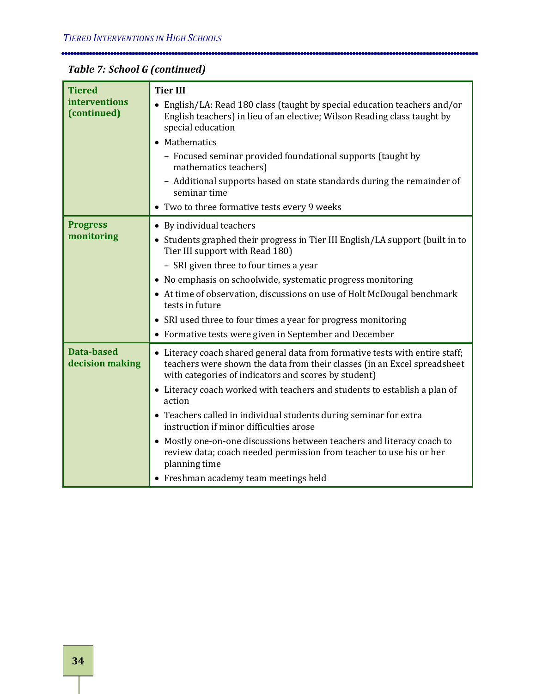| Table 7: School G (continued) |  |  |
|-------------------------------|--|--|
|-------------------------------|--|--|

Ē

| <b>Tiered</b>                        | <b>Tier III</b>                                                                                                                                                                                                  |
|--------------------------------------|------------------------------------------------------------------------------------------------------------------------------------------------------------------------------------------------------------------|
| interventions<br>(continued)         | • English/LA: Read 180 class (taught by special education teachers and/or<br>English teachers) in lieu of an elective; Wilson Reading class taught by<br>special education                                       |
|                                      | • Mathematics                                                                                                                                                                                                    |
|                                      | - Focused seminar provided foundational supports (taught by<br>mathematics teachers)                                                                                                                             |
|                                      | - Additional supports based on state standards during the remainder of<br>seminar time                                                                                                                           |
|                                      | • Two to three formative tests every 9 weeks                                                                                                                                                                     |
| <b>Progress</b>                      | • By individual teachers                                                                                                                                                                                         |
| monitoring                           | • Students graphed their progress in Tier III English/LA support (built in to<br>Tier III support with Read 180)                                                                                                 |
|                                      | - SRI given three to four times a year                                                                                                                                                                           |
|                                      | • No emphasis on schoolwide, systematic progress monitoring                                                                                                                                                      |
|                                      | • At time of observation, discussions on use of Holt McDougal benchmark<br>tests in future                                                                                                                       |
|                                      | • SRI used three to four times a year for progress monitoring                                                                                                                                                    |
|                                      | • Formative tests were given in September and December                                                                                                                                                           |
| <b>Data-based</b><br>decision making | • Literacy coach shared general data from formative tests with entire staff;<br>teachers were shown the data from their classes (in an Excel spreadsheet<br>with categories of indicators and scores by student) |
|                                      | • Literacy coach worked with teachers and students to establish a plan of<br>action                                                                                                                              |
|                                      | • Teachers called in individual students during seminar for extra<br>instruction if minor difficulties arose                                                                                                     |
|                                      | • Mostly one-on-one discussions between teachers and literacy coach to<br>review data; coach needed permission from teacher to use his or her<br>planning time                                                   |
|                                      | • Freshman academy team meetings held                                                                                                                                                                            |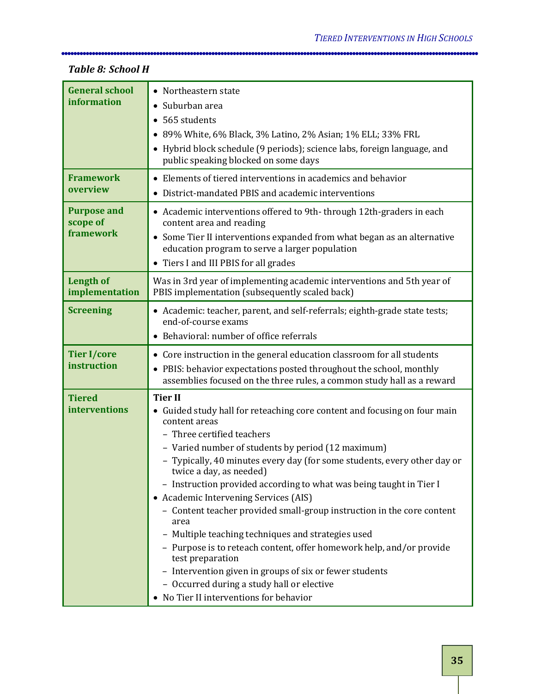#### **General school information** • Northeastern state • Suburban area • 565 students • 89% White, 6% Black, 3% Latino, 2% Asian; 1% ELL; 33% FRL • Hybrid block schedule (9 periods); science labs, foreign language, and public speaking blocked on some days **Framework overview** • Elements of tiered interventions in academics and behavior • District-mandated PBIS and academic interventions **Purpose and scope of framework** • Academic interventions offered to 9th- through 12th-graders in each content area and reading • Some Tier II interventions expanded from what began as an alternative education program to serve a larger population • Tiers I and III PBIS for all grades **Length of implementation** Was in 3rd year of implementing academic interventions and 5th year of PBIS implementation (subsequently scaled back) **Screening** • Academic: teacher, parent, and self-referrals; eighth-grade state tests; end-of-course exams • Behavioral: number of office referrals **Tier I/core instruction**  • Core instruction in the general education classroom for all students • PBIS: behavior expectations posted throughout the school, monthly assemblies focused on the three rules, a common study hall as a reward **Tiered interventions Tier II** • Guided study hall for reteaching core content and focusing on four main content areas – Three certified teachers – Varied number of students by period (12 maximum) – Typically, 40 minutes every day (for some students, every other day or twice a day, as needed) – Instruction provided according to what was being taught in Tier I • Academic Intervening Services (AIS) – Content teacher provided small-group instruction in the core content area – Multiple teaching techniques and strategies used – Purpose is to reteach content, offer homework help, and/or provide test preparation – Intervention given in groups of six or fewer students – Occurred during a study hall or elective • No Tier II interventions for behavior

#### *Table 8: School H*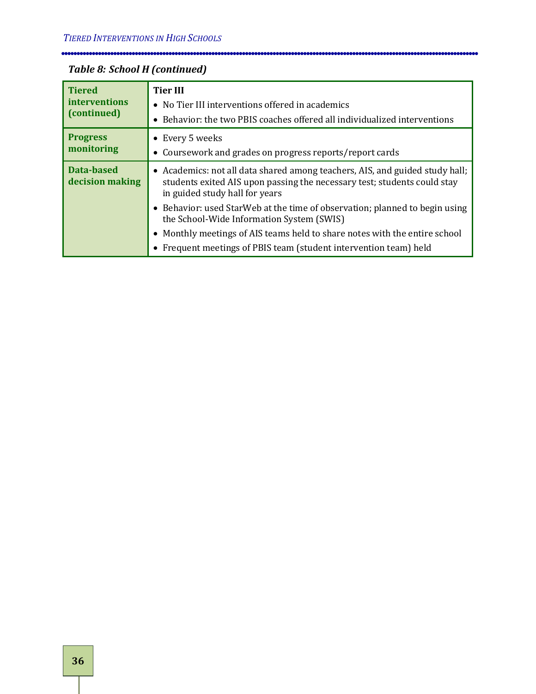$\hspace*{1.5cm} \begin{minipage}{10.0cm} \begin{tabular}{l} \textbf{0.0cm} \textbf{0.0cm} \end{tabular} \end{minipage} \begin{minipage}{0.0cm} \begin{tabular}{l} \textbf{0.0cm} \end{tabular} \end{minipage} \end{minipage} \begin{minipage}{0.0cm} \begin{tabular}{l} \textbf{0.0cm} \end{tabular} \end{minipage} \end{minipage} \begin{minipage}{0.0cm} \begin{tabular}{l} \textbf{0.0cm} \end{tabular} \end{minipage} \end{minipage} \begin{minipage}{0.0cm$ 

## *Table 8: School H (continued)*

| <b>Tiered</b><br>interventions<br>(continued) | <b>Tier III</b><br>• No Tier III interventions offered in academics<br>• Behavior: the two PBIS coaches offered all individualized interventions                                           |
|-----------------------------------------------|--------------------------------------------------------------------------------------------------------------------------------------------------------------------------------------------|
| <b>Progress</b><br>monitoring                 | • Every 5 weeks<br>• Coursework and grades on progress reports/report cards                                                                                                                |
| Data-based<br>decision making                 | • Academics: not all data shared among teachers, AIS, and guided study hall;<br>students exited AIS upon passing the necessary test; students could stay<br>in guided study hall for years |
|                                               | • Behavior: used StarWeb at the time of observation; planned to begin using<br>the School-Wide Information System (SWIS)                                                                   |
|                                               | • Monthly meetings of AIS teams held to share notes with the entire school<br>• Frequent meetings of PBIS team (student intervention team) held                                            |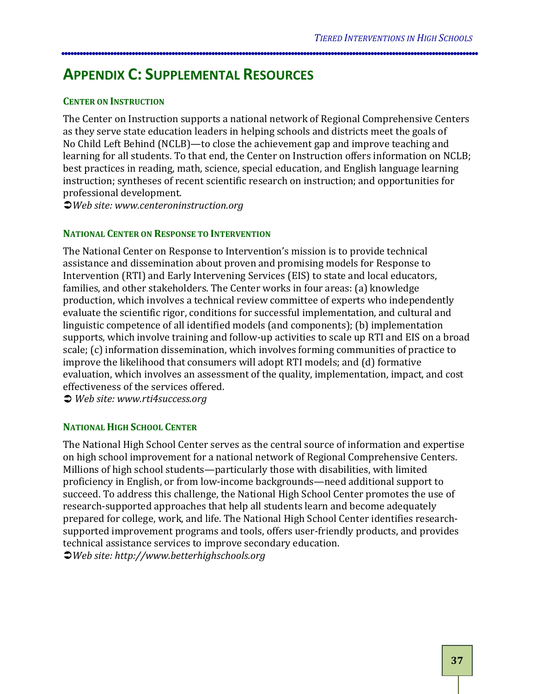## <span id="page-42-0"></span>**APPENDIX C: SUPPLEMENTAL RESOURCES**

#### **CENTER ON INSTRUCTION**

The Center on Instruction supports a national network of Regional Comprehensive Centers as they serve state education leaders in helping schools and districts meet the goals of No Child Left Behind (NCLB)—to close the achievement gap and improve teaching and learning for all students. To that end, the Center on Instruction offers information on NCLB; best practices in reading, math, science, special education, and English language learning instruction; syntheses of recent scientific research on instruction; and opportunities for professional development.

*Web site: www.centeroninstruction.org*

#### **NATIONAL CENTER ON RESPONSE TO INTERVENTION**

The National Center on Response to Intervention's mission is to provide technical assistance and dissemination about proven and promising models for Response to Intervention (RTI) and Early Intervening Services (EIS) to state and local educators, families, and other stakeholders. The Center works in four areas: (a) knowledge production, which involves a technical review committee of experts who independently evaluate the scientific rigor, conditions for successful implementation, and cultural and linguistic competence of all identified models (and components); (b) implementation supports, which involve training and follow-up activities to scale up RTI and EIS on a broad scale; (c) information dissemination, which involves forming communities of practice to improve the likelihood that consumers will adopt RTI models; and (d) formative evaluation, which involves an assessment of the quality, implementation, impact, and cost effectiveness of the services offered.

*Web site: www.rti4success.org*

#### **NATIONAL HIGH SCHOOL CENTER**

The National High School Center serves as the central source of information and expertise on high school improvement for a national network of Regional Comprehensive Centers. Millions of high school students—particularly those with disabilities, with limited proficiency in English, or from low-income backgrounds—need additional support to succeed. To address this challenge, the National High School Center promotes the use of research-supported approaches that help all students learn and become adequately prepared for college, work, and life. The National High School Center identifies researchsupported improvement programs and tools, offers user-friendly products, and provides technical assistance services to improve secondary education.

*Web site: http://www.betterhighschools.org*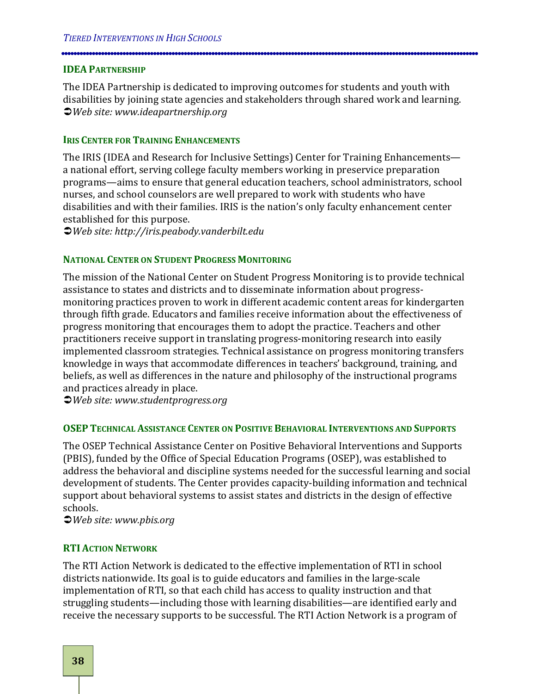#### **IDEA PARTNERSHIP**

The IDEA Partnership is dedicated to improving outcomes for students and youth with disabilities by joining state agencies and stakeholders through shared work and learning. *Web site: www.ideapartnership.org*

#### **IRIS CENTER FOR TRAINING ENHANCEMENTS**

The IRIS (IDEA and Research for Inclusive Settings) Center for Training Enhancements a national effort, serving college faculty members working in preservice preparation programs—aims to ensure that general education teachers, school administrators, school nurses, and school counselors are well prepared to work with students who have disabilities and with their families. IRIS is the nation's only faculty enhancement center established for this purpose.

*Web site: http://iris.peabody.vanderbilt.edu*

#### **NATIONAL CENTER ON STUDENT PROGRESS MONITORING**

The mission of the National Center on Student Progress Monitoring is to provide technical assistance to states and districts and to disseminate information about progressmonitoring practices proven to work in different academic content areas for kindergarten through fifth grade. Educators and families receive information about the effectiveness of progress monitoring that encourages them to adopt the practice. Teachers and other practitioners receive support in translating progress-monitoring research into easily implemented classroom strategies. Technical assistance on progress monitoring transfers knowledge in ways that accommodate differences in teachers' background, training, and beliefs, as well as differences in the nature and philosophy of the instructional programs and practices already in place.

*Web site: www.studentprogress.org*

#### **OSEP TECHNICAL ASSISTANCE CENTER ON POSITIVE BEHAVIORAL INTERVENTIONS AND SUPPORTS**

The OSEP Technical Assistance Center on Positive Behavioral Interventions and Supports (PBIS), funded by the Office of Special Education Programs (OSEP), was established to address the behavioral and discipline systems needed for the successful learning and social development of students. The Center provides capacity-building information and technical support about behavioral systems to assist states and districts in the design of effective schools.

*Web site: www.pbis.org*

#### **RTI ACTION NETWORK**

The RTI Action Network is dedicated to the effective implementation of RTI in school districts nationwide. Its goal is to guide educators and families in the large-scale implementation of RTI, so that each child has access to quality instruction and that struggling students—including those with learning disabilities—are identified early and receive the necessary supports to be successful. The RTI Action Network is a program of